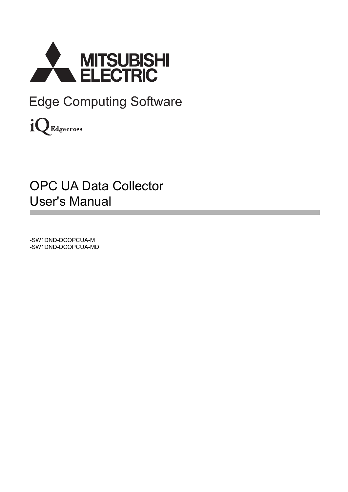

**Edge Computing Software** 

iQ Edgecross

# OPC UA Data Collector User's Manual

-SW1DND-DCOPCUA-M -SW1DND-DCOPCUA-MD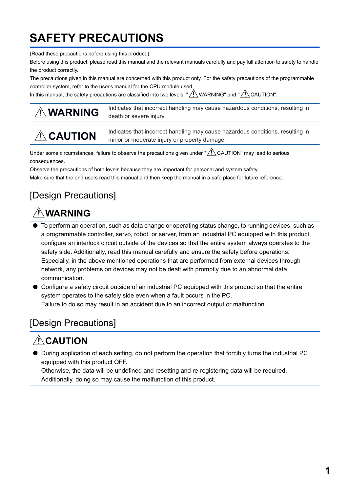# <span id="page-2-0"></span>**SAFETY PRECAUTIONS**

(Read these precautions before using this product.)

Before using this product, please read this manual and the relevant manuals carefully and pay full attention to safety to handle the product correctly.

The precautions given in this manual are concerned with this product only. For the safety precautions of the programmable controller system, refer to the user's manual for the CPU module used.

In this manual, the safety precautions are classified into two levels: " $\bigwedge$  WARNING" and " $\bigwedge$  CAUTION".

| <b>AWARNING</b> | Indicates that incorrect handling may cause hazardous conditions, resulting in<br>death or severe injury.                      |
|-----------------|--------------------------------------------------------------------------------------------------------------------------------|
| $\land$ CAUTION | Indicates that incorrect handling may cause hazardous conditions, resulting in<br>minor or moderate injury or property damage. |

Under some circumstances, failure to observe the precautions given under " A CAUTION" may lead to serious consequences.

Observe the precautions of both levels because they are important for personal and system safety.

Make sure that the end users read this manual and then keep the manual in a safe place for future reference.

### [Design Precautions]

## **WARNING**

- To perform an operation, such as data change or operating status change, to running devices, such as a programmable controller, servo, robot, or server, from an industrial PC equipped with this product, configure an interlock circuit outside of the devices so that the entire system always operates to the safety side. Additionally, read this manual carefully and ensure the safety before operations. Especially, in the above mentioned operations that are performed from external devices through network, any problems on devices may not be dealt with promptly due to an abnormal data communication.
- Configure a safety circuit outside of an industrial PC equipped with this product so that the entire system operates to the safely side even when a fault occurs in the PC. Failure to do so may result in an accident due to an incorrect output or malfunction.

### [Design Precautions]

# **A**CAUTION

● During application of each setting, do not perform the operation that forcibly turns the industrial PC equipped with this product OFF.

Otherwise, the data will be undefined and resetting and re-registering data will be required. Additionally, doing so may cause the malfunction of this product.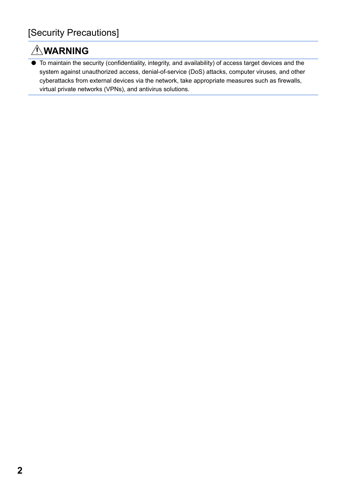## **WARNING**

● To maintain the security (confidentiality, integrity, and availability) of access target devices and the system against unauthorized access, denial-of-service (DoS) attacks, computer viruses, and other cyberattacks from external devices via the network, take appropriate measures such as firewalls, virtual private networks (VPNs), and antivirus solutions.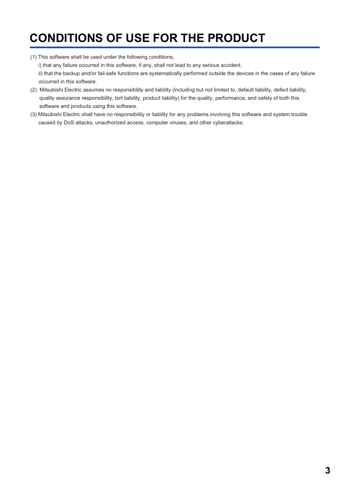# <span id="page-4-0"></span>**CONDITIONS OF USE FOR THE PRODUCT**

- (1) This software shall be used under the following conditions;
	- i) that any failure occurred in this software, if any, shall not lead to any serious accident.
	- ii) that the backup and/or fail-safe functions are systematically performed outside the devices in the cases of any failure occurred in this software.
- (2) Mitsubishi Electric assumes no responsibility and liability (including but not limited to, default liability, defect liability, quality assurance responsibility, tort liability, product liability) for the quality, performance, and safety of both this software and products using this software.
- (3) Mitsubishi Electric shall have no responsibility or liability for any problems involving this software and system trouble caused by DoS attacks, unauthorized access, computer viruses, and other cyberattacks.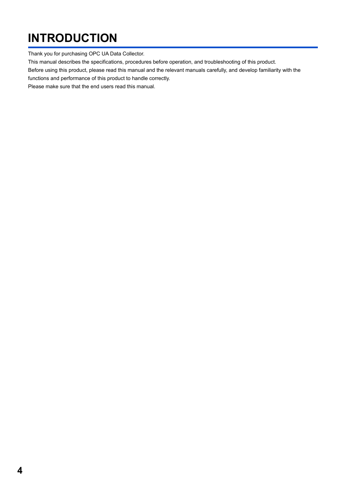# <span id="page-5-0"></span>**INTRODUCTION**

Thank you for purchasing OPC UA Data Collector.

This manual describes the specifications, procedures before operation, and troubleshooting of this product.

Before using this product, please read this manual and the relevant manuals carefully, and develop familiarity with the

functions and performance of this product to handle correctly.

Please make sure that the end users read this manual.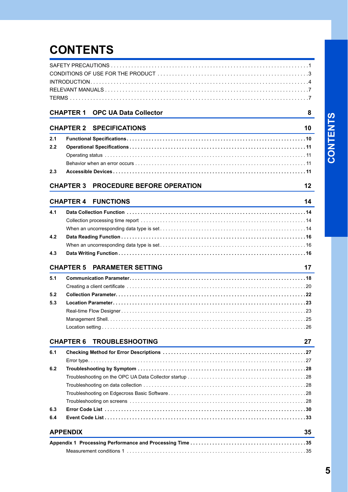# **CONTENTS**

|     | <b>CHAPTER 1 OPC UA Data Collector</b>                                                                                                                             | 8  |
|-----|--------------------------------------------------------------------------------------------------------------------------------------------------------------------|----|
|     | <b>CHAPTER 2 SPECIFICATIONS</b><br>and the control of the control of the control of the control of the control of the control of the control of the                | 10 |
| 2.1 |                                                                                                                                                                    |    |
| 2.2 |                                                                                                                                                                    |    |
|     |                                                                                                                                                                    |    |
|     |                                                                                                                                                                    |    |
| 2.3 |                                                                                                                                                                    |    |
|     | <b>CHAPTER 3 PROCEDURE BEFORE OPERATION</b>                                                                                                                        | 12 |
|     | <b>CHAPTER 4 FUNCTIONS</b>                                                                                                                                         | 14 |
| 4.1 | and the control of the control of the control of the control of the control of the control of the control of the                                                   |    |
|     |                                                                                                                                                                    |    |
|     |                                                                                                                                                                    |    |
| 4.2 |                                                                                                                                                                    |    |
|     |                                                                                                                                                                    |    |
| 4.3 |                                                                                                                                                                    |    |
|     | <b>CHAPTER 5 PARAMETER SETTING</b>                                                                                                                                 | 17 |
| 5.1 |                                                                                                                                                                    |    |
|     |                                                                                                                                                                    |    |
| 5.2 |                                                                                                                                                                    |    |
| 5.3 |                                                                                                                                                                    |    |
|     |                                                                                                                                                                    |    |
|     |                                                                                                                                                                    |    |
|     |                                                                                                                                                                    |    |
|     |                                                                                                                                                                    |    |
|     | <b>TROUBLESHOOTING</b><br><b>CHAPTER 6</b><br><u> 1989 - Johann Stein, marwolaethau a bhann an t-Amhair an t-Amhair an t-Amhair an t-Amhair an t-Amhair an t-A</u> | 27 |
| 6.1 |                                                                                                                                                                    |    |
|     |                                                                                                                                                                    |    |
| 6.2 |                                                                                                                                                                    |    |
|     |                                                                                                                                                                    |    |
|     |                                                                                                                                                                    |    |
|     |                                                                                                                                                                    |    |
|     |                                                                                                                                                                    |    |
| 6.3 |                                                                                                                                                                    |    |
| 6.4 |                                                                                                                                                                    |    |
|     | <b>APPENDIX</b>                                                                                                                                                    | 35 |
|     |                                                                                                                                                                    |    |
|     |                                                                                                                                                                    |    |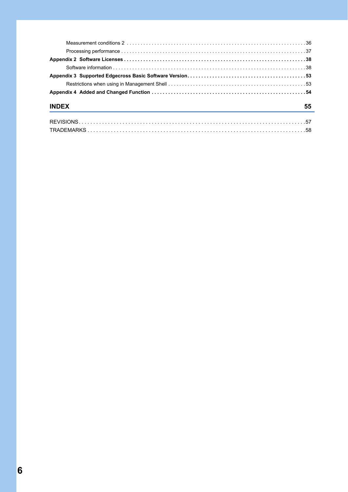| <b>INDEX</b> | 55 |
|--------------|----|
|              |    |
|              |    |
|              |    |
|              |    |
|              |    |
|              |    |
|              |    |

[TRADEMARKS . . . . . . . . . . . . . . . . . . . . . . . . . . . . . . . . . . . . . . . . . . . . . . . . . . . . . . . . . . . . . . . . . . . . . . . . . . .58](#page-59-0)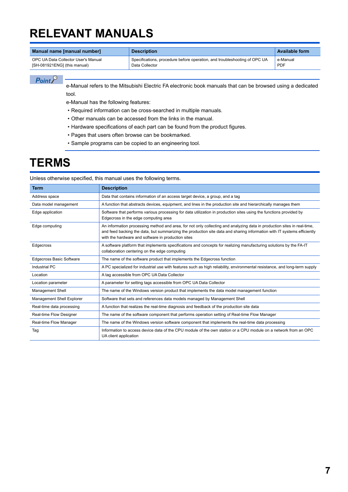# <span id="page-8-0"></span>**RELEVANT MANUALS**

| Manual name [manual number]         | <b>Description</b>                                                        | <b>Available form</b> |
|-------------------------------------|---------------------------------------------------------------------------|-----------------------|
| OPC UA Data Collector User's Manual | Specifications, procedure before operation, and troubleshooting of OPC UA | e-Manual              |
| [SH-081921ENG] (this manual)        | Data Collector                                                            | <b>PDF</b>            |

 $Point<sup>0</sup>$ 

e-Manual refers to the Mitsubishi Electric FA electronic book manuals that can be browsed using a dedicated tool.

e-Manual has the following features:

- Required information can be cross-searched in multiple manuals.
- Other manuals can be accessed from the links in the manual.
- Hardware specifications of each part can be found from the product figures.
- Pages that users often browse can be bookmarked.
- Sample programs can be copied to an engineering tool.

## <span id="page-8-1"></span>**TERMS**

Unless otherwise specified, this manual uses the following terms.

| <b>Term</b>                     | <b>Description</b>                                                                                                                                                                                                                                                                                       |
|---------------------------------|----------------------------------------------------------------------------------------------------------------------------------------------------------------------------------------------------------------------------------------------------------------------------------------------------------|
| Address space                   | Data that contains information of an access target device, a group, and a tag                                                                                                                                                                                                                            |
| Data model management           | A function that abstracts devices, equipment, and lines in the production site and hierarchically manages them                                                                                                                                                                                           |
| Edge application                | Software that performs various processing for data utilization in production sites using the functions provided by<br>Edgecross in the edge computing area                                                                                                                                               |
| Edge computing                  | An information processing method and area, for not only collecting and analyzing data in production sites in real-time,<br>and feed backing the data, but summarizing the production site data and sharing information with IT systems efficiently<br>with the hardware and software in production sites |
| Edgecross                       | A software platform that implements specifications and concepts for realizing manufacturing solutions by the FA-IT<br>collaboration centering on the edge computing                                                                                                                                      |
| <b>Edgecross Basic Software</b> | The name of the software product that implements the Edgecross function                                                                                                                                                                                                                                  |
| Industrial PC                   | A PC specialized for industrial use with features such as high reliability, environmental resistance, and long-term supply                                                                                                                                                                               |
| Location                        | A tag accessible from OPC UA Data Collector                                                                                                                                                                                                                                                              |
| Location parameter              | A parameter for setting tags accessible from OPC UA Data Collector                                                                                                                                                                                                                                       |
| <b>Management Shell</b>         | The name of the Windows version product that implements the data model management function                                                                                                                                                                                                               |
| Management Shell Explorer       | Software that sets and references data models managed by Management Shell                                                                                                                                                                                                                                |
| Real-time data processing       | A function that realizes the real-time diagnosis and feedback of the production site data                                                                                                                                                                                                                |
| Real-time Flow Designer         | The name of the software component that performs operation setting of Real-time Flow Manager                                                                                                                                                                                                             |
| Real-time Flow Manager          | The name of the Windows version software component that implements the real-time data processing                                                                                                                                                                                                         |
| Tag                             | Information to access device data of the CPU module of the own station or a CPU module on a network from an OPC<br>UA client application                                                                                                                                                                 |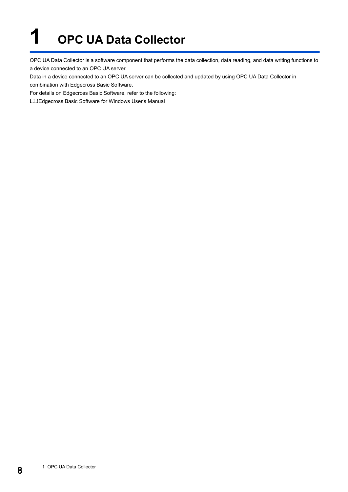# <span id="page-9-0"></span>**1 OPC UA Data Collector**

OPC UA Data Collector is a software component that performs the data collection, data reading, and data writing functions to a device connected to an OPC UA server.

Data in a device connected to an OPC UA server can be collected and updated by using OPC UA Data Collector in combination with Edgecross Basic Software.

For details on Edgecross Basic Software, refer to the following:

Edgecross Basic Software for Windows User's Manual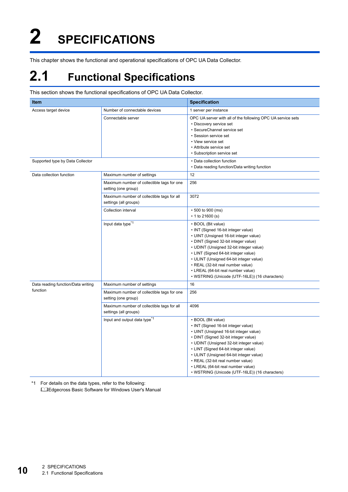# <span id="page-11-0"></span>**2 SPECIFICATIONS**

<span id="page-11-3"></span>This chapter shows the functional and operational specifications of OPC UA Data Collector.

# <span id="page-11-1"></span>**2.1 Functional Specifications**

#### This section shows the functional specifications of OPC UA Data Collector.

| Item                               |                                                                     | <b>Specification</b>                                                                                                                                                                                                                                                                                                                                                                                   |
|------------------------------------|---------------------------------------------------------------------|--------------------------------------------------------------------------------------------------------------------------------------------------------------------------------------------------------------------------------------------------------------------------------------------------------------------------------------------------------------------------------------------------------|
| Access target device               | Number of connectable devices                                       | 1 server per instance                                                                                                                                                                                                                                                                                                                                                                                  |
|                                    | Connectable server                                                  | OPC UA server with all of the following OPC UA service sets<br>• Discovery service set<br>• SecureChannel service set<br>• Session service set<br>• View service set<br>• Attribute service set<br>• Subscription service set                                                                                                                                                                          |
| Supported type by Data Collector   |                                                                     | • Data collection function<br>• Data reading function/Data writing function                                                                                                                                                                                                                                                                                                                            |
| Data collection function           | Maximum number of settings                                          | 12                                                                                                                                                                                                                                                                                                                                                                                                     |
|                                    | Maximum number of collectible tags for one<br>setting (one group)   | 256                                                                                                                                                                                                                                                                                                                                                                                                    |
|                                    | Maximum number of collectible tags for all<br>settings (all groups) | 3072                                                                                                                                                                                                                                                                                                                                                                                                   |
|                                    | Collection interval                                                 | • 500 to 900 (ms)<br>$\cdot$ 1 to 21600 (s)                                                                                                                                                                                                                                                                                                                                                            |
|                                    | Input data type <sup>*1</sup>                                       | • BOOL (Bit value)<br>• INT (Signed 16-bit integer value)<br>• UINT (Unsigned 16-bit integer value)<br>• DINT (Signed 32-bit integer value)<br>• UDINT (Unsigned 32-bit integer value)<br>• LINT (Signed 64-bit integer value)<br>• ULINT (Unsigned 64-bit integer value)<br>• REAL (32-bit real number value)<br>• LREAL (64-bit real number value)<br>• WSTRING (Unicode (UTF-16LE)) (16 characters) |
| Data reading function/Data writing | Maximum number of settings                                          | 16                                                                                                                                                                                                                                                                                                                                                                                                     |
| function                           | Maximum number of collectible tags for one<br>setting (one group)   | 256                                                                                                                                                                                                                                                                                                                                                                                                    |
|                                    | Maximum number of collectible tags for all<br>settings (all groups) | 4096                                                                                                                                                                                                                                                                                                                                                                                                   |
|                                    | Input and output data type <sup>*1</sup>                            | • BOOL (Bit value)<br>• INT (Signed 16-bit integer value)<br>• UINT (Unsigned 16-bit integer value)<br>• DINT (Signed 32-bit integer value)<br>• UDINT (Unsigned 32-bit integer value)<br>• LINT (Signed 64-bit integer value)<br>• ULINT (Unsigned 64-bit integer value)<br>• REAL (32-bit real number value)<br>• LREAL (64-bit real number value)<br>• WSTRING (Unicode (UTF-16LE)) (16 characters) |

<span id="page-11-2"></span>\*1 For details on the data types, refer to the following: Edgecross Basic Software for Windows User's Manual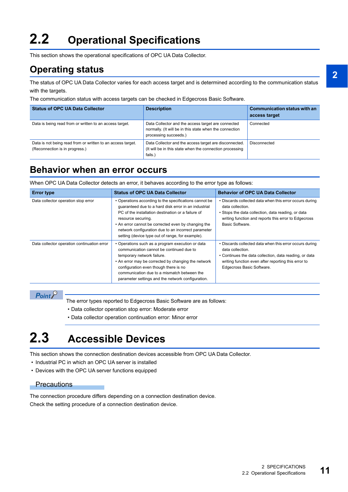# <span id="page-12-5"></span><span id="page-12-0"></span>**2.2 Operational Specifications**

This section shows the operational specifications of OPC UA Data Collector.

### <span id="page-12-1"></span>**Operating status**

The status of OPC UA Data Collector varies for each access target and is determined according to the communication status with the targets.

The communication status with access targets can be checked in Edgecross Basic Software.

| <b>Status of OPC UA Data Collector</b>                                                        | <b>Description</b>                                                                                                                     | <b>Communication status with an</b><br>access target |
|-----------------------------------------------------------------------------------------------|----------------------------------------------------------------------------------------------------------------------------------------|------------------------------------------------------|
| Data is being read from or written to an access target.                                       | Data Collector and the access target are connected<br>normally. (It will be in this state when the connection<br>processing succeeds.) | Connected                                            |
| Data is not being read from or written to an access target.<br>(Reconnection is in progress.) | Data Collector and the access target are disconnected.<br>(It will be in this state when the connection processing<br>fails.           | Disconnected                                         |

### <span id="page-12-2"></span>**Behavior when an error occurs**

When OPC UA Data Collector detects an error, it behaves according to the error type as follows:

| <b>Error type</b>                           | <b>Status of OPC UA Data Collector</b>                                                                                                                                                                                                                                                                                                                       | <b>Behavior of OPC UA Data Collector</b>                                                                                                                                                                                  |
|---------------------------------------------|--------------------------------------------------------------------------------------------------------------------------------------------------------------------------------------------------------------------------------------------------------------------------------------------------------------------------------------------------------------|---------------------------------------------------------------------------------------------------------------------------------------------------------------------------------------------------------------------------|
| Data collector operation stop error         | • Operations according to the specifications cannot be<br>quaranteed due to a hard disk error in an industrial<br>PC of the installation destination or a failure of<br>resource securing.<br>• An error cannot be corrected even by changing the<br>network configuration due to an incorrect parameter<br>setting (device type out of range, for example). | • Discards collected data when this error occurs during<br>data collection.<br>• Stops the data collection, data reading, or data<br>writing function and reports this error to Edgecross<br>Basic Software.              |
| Data collector operation continuation error | • Operations such as a program execution or data<br>communication cannot be continued due to<br>temporary network failure.<br>• An error may be corrected by changing the network<br>configuration even though there is no<br>communication due to a mismatch between the<br>parameter settings and the network configuration.                               | • Discards collected data when this error occurs during<br>data collection.<br>• Continues the data collection, data reading, or data<br>writing function even after reporting this error to<br>Edgecross Basic Software. |

 $Point<sup>0</sup>$ 

The error types reported to Edgecross Basic Software are as follows:

- Data collector operation stop error: Moderate error
- <span id="page-12-4"></span>• Data collector operation continuation error: Minor error

## <span id="page-12-3"></span>**2.3 Accessible Devices**

This section shows the connection destination devices accessible from OPC UA Data Collector.

- Industrial PC in which an OPC UA server is installed
- Devices with the OPC UA server functions equipped

#### **Precautions**

The connection procedure differs depending on a connection destination device. Check the setting procedure of a connection destination device.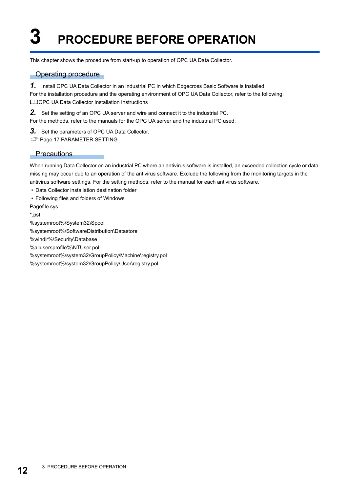# <span id="page-13-0"></span>**3 PROCEDURE BEFORE OPERATION**

This chapter shows the procedure from start-up to operation of OPC UA Data Collector.

### Operating procedure

*1.* Install OPC UA Data Collector in an industrial PC in which Edgecross Basic Software is installed. For the installation procedure and the operating environment of OPC UA Data Collector, refer to the following: **QOPC UA Data Collector Installation Instructions** 

*2.* Set the setting of an OPC UA server and wire and connect it to the industrial PC.

For the methods, refer to the manuals for the OPC UA server and the industrial PC used.

*3.* Set the parameters of OPC UA Data Collector.

**FF** [Page 17 PARAMETER SETTING](#page-18-1)

#### **Precautions**

When running Data Collector on an industrial PC where an antivirus software is installed, an exceeded collection cycle or data missing may occur due to an operation of the antivirus software. Exclude the following from the monitoring targets in the antivirus software settings. For the setting methods, refer to the manual for each antivirus software.

• Data Collector installation destination folder

• Following files and folders of Windows

Pagefile.sys

\*.pst

%systemroot%\System32\Spool

%systemroot%\SoftwareDistribution\Datastore

%windir%\Security\Database

%allusersprofile%\NTUser.pol

%systemroot%\system32\GroupPolicy\Machine\registry.pol

%systemroot%\system32\GroupPolicy\User\registry.pol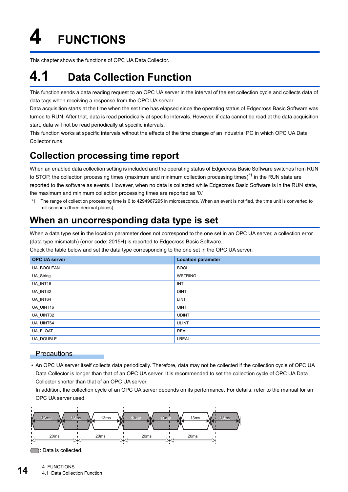<span id="page-15-0"></span>**4 FUNCTIONS**

<span id="page-15-4"></span>This chapter shows the functions of OPC UA Data Collector.

# <span id="page-15-1"></span>**4.1 Data Collection Function**

This function sends a data reading request to an OPC UA server in the interval of the set collection cycle and collects data of data tags when receiving a response from the OPC UA server.

Data acquisition starts at the time when the set time has elapsed since the operating status of Edgecross Basic Software was turned to RUN. After that, data is read periodically at specific intervals. However, if data cannot be read at the data acquisition start, data will not be read periodically at specific intervals.

This function works at specific intervals without the effects of the time change of an industrial PC in which OPC UA Data Collector runs.

### <span id="page-15-2"></span>**Collection processing time report**

When an enabled data collection setting is included and the operating status of Edgecross Basic Software switches from RUN to STOP, the collection processing times (maximum and minimum collection processing times)<sup>\*1</sup> in the RUN state are reported to the software as events. However, when no data is collected while Edgecross Basic Software is in the RUN state, the maximum and minimum collection processing times are reported as '0.'

\*1 The range of collection processing time is 0 to 4294967295 in microseconds. When an event is notified, the time unit is converted to milliseconds (three decimal places).

### <span id="page-15-3"></span>**When an uncorresponding data type is set**

When a data type set in the location parameter does not correspond to the one set in an OPC UA server, a collection error (data type mismatch) (error code: 2015H) is reported to Edgecross Basic Software.

Check the table below and set the data type corresponding to the one set in the OPC UA server.

| <b>OPC UA server</b> | <b>Location parameter</b> |
|----------------------|---------------------------|
| UA_BOOLEAN           | <b>BOOL</b>               |
| UA_String            | <b>WSTRING</b>            |
| UA_INT16             | <b>INT</b>                |
| UA_INT32             | <b>DINT</b>               |
| UA_INT64             | LINT                      |
| UA_UINT16            | <b>UINT</b>               |
| UA_UINT32            | <b>UDINT</b>              |
| UA_UINT64            | <b>ULINT</b>              |
| UA_FLOAT             | <b>REAL</b>               |
| <b>UA DOUBLE</b>     | <b>LREAL</b>              |

#### **Precautions**

 • An OPC UA server itself collects data periodically. Therefore, data may not be collected if the collection cycle of OPC UA Data Collector is longer than that of an OPC UA server. It is recommended to set the collection cycle of OPC UA Data Collector shorter than that of an OPC UA server.

In addition, the collection cycle of an OPC UA server depends on its performance. For details, refer to the manual for an OPC UA server used.



: Data is collected.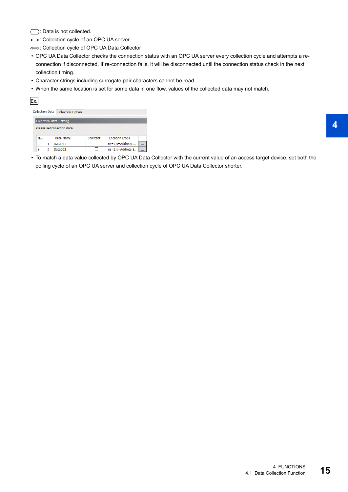$\Box$ : Data is not collected.

: Collection cycle of an OPC UA server

: Collection cycle of OPC UA Data Collector

- OPC UA Data Collector checks the connection status with an OPC UA server every collection cycle and attempts a reconnection if disconnected. If re-connection fails, it will be disconnected until the connection status check in the next collection timing.
- Character strings including surrogate pair characters cannot be read.
- When the same location is set for some data in one flow, values of the collected data may not match.

| lEx. |                        |   |                             |          |                  |  |
|------|------------------------|---|-----------------------------|----------|------------------|--|
|      | <b>Collection Data</b> |   | <b>Collection Option</b>    |          |                  |  |
|      |                        |   |                             |          |                  |  |
|      |                        |   | Collection Data Setting     |          |                  |  |
|      |                        |   | Please set collection data. |          |                  |  |
|      | No.                    |   | Data Name                   | Constant | Location (top)   |  |
|      |                        |   | Data001                     |          | ns=2;s=Address S |  |
|      |                        | 2 | Data002                     |          | ns=2;s=Address S |  |

 • To match a data value collected by OPC UA Data Collector with the current value of an access target device, set both the polling cycle of an OPC UA server and collection cycle of OPC UA Data Collector shorter.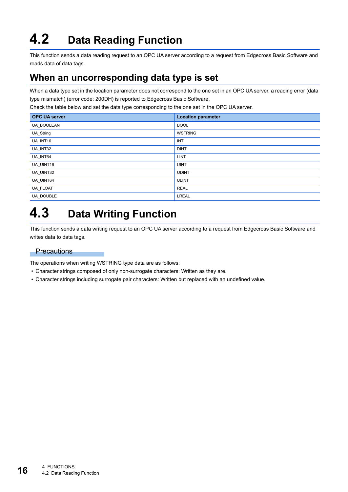# <span id="page-17-3"></span><span id="page-17-0"></span>**4.2 Data Reading Function**

This function sends a data reading request to an OPC UA server according to a request from Edgecross Basic Software and reads data of data tags.

### <span id="page-17-1"></span>**When an uncorresponding data type is set**

When a data type set in the location parameter does not correspond to the one set in an OPC UA server, a reading error (data type mismatch) (error code: 200DH) is reported to Edgecross Basic Software.

Check the table below and set the data type corresponding to the one set in the OPC UA server.

| <b>OPC UA server</b> | <b>Location parameter</b> |
|----------------------|---------------------------|
| UA_BOOLEAN           | <b>BOOL</b>               |
| UA_String            | <b>WSTRING</b>            |
| UA_INT16             | <b>INT</b>                |
| UA_INT32             | <b>DINT</b>               |
| UA_INT64             | <b>LINT</b>               |
| UA_UINT16            | <b>UINT</b>               |
| UA_UINT32            | <b>UDINT</b>              |
| UA UINT64            | <b>ULINT</b>              |
| UA_FLOAT             | <b>REAL</b>               |
| UA DOUBLE            | <b>LREAL</b>              |

# <span id="page-17-4"></span><span id="page-17-2"></span>**4.3 Data Writing Function**

This function sends a data writing request to an OPC UA server according to a request from Edgecross Basic Software and writes data to data tags.

### **Precautions**

The operations when writing WSTRING type data are as follows:

- Character strings composed of only non-surrogate characters: Written as they are.
- Character strings including surrogate pair characters: Written but replaced with an undefined value.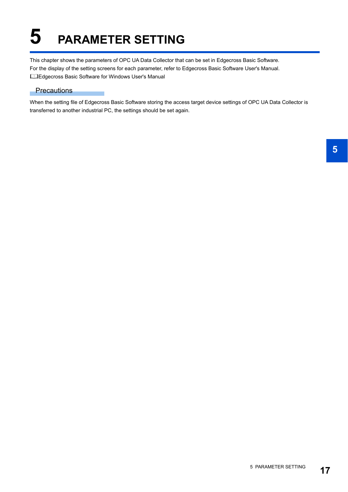# <span id="page-18-1"></span><span id="page-18-0"></span>**5 PARAMETER SETTING**

This chapter shows the parameters of OPC UA Data Collector that can be set in Edgecross Basic Software. For the display of the setting screens for each parameter, refer to Edgecross Basic Software User's Manual. Edgecross Basic Software for Windows User's Manual

### **Precautions**

When the setting file of Edgecross Basic Software storing the access target device settings of OPC UA Data Collector is transferred to another industrial PC, the settings should be set again.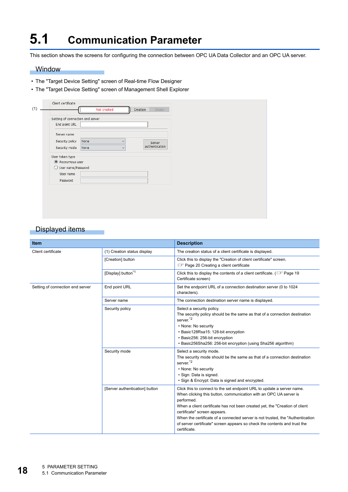# <span id="page-19-1"></span><span id="page-19-0"></span>**5.1 Communication Parameter**

This section shows the screens for configuring the connection between OPC UA Data Collector and an OPC UA server.

#### **Window**

- The "Target Device Setting" screen of Real-time Flow Designer
- The "Target Device Setting" screen of Management Shell Explorer

| Display<br>Not created<br>Creation<br>Setting of connection end server<br>End point URL<br>Server name<br>Security policy<br>None<br>$\checkmark$<br>Server<br>authentication<br>Security mode<br>None<br>$\checkmark$<br>User token type<br>Anonymous user<br>$\bigcirc$ User name/Password |
|----------------------------------------------------------------------------------------------------------------------------------------------------------------------------------------------------------------------------------------------------------------------------------------------|
|                                                                                                                                                                                                                                                                                              |
|                                                                                                                                                                                                                                                                                              |
|                                                                                                                                                                                                                                                                                              |
|                                                                                                                                                                                                                                                                                              |
|                                                                                                                                                                                                                                                                                              |
|                                                                                                                                                                                                                                                                                              |
|                                                                                                                                                                                                                                                                                              |
|                                                                                                                                                                                                                                                                                              |
|                                                                                                                                                                                                                                                                                              |
| User name                                                                                                                                                                                                                                                                                    |
| Password                                                                                                                                                                                                                                                                                     |

### Displayed items

| <b>Item</b>                      |                                | <b>Description</b>                                                                                                                                                                                                                                                                                                                                                                                                                                       |
|----------------------------------|--------------------------------|----------------------------------------------------------------------------------------------------------------------------------------------------------------------------------------------------------------------------------------------------------------------------------------------------------------------------------------------------------------------------------------------------------------------------------------------------------|
| Client certificate               | (1) Creation status display    | The creation status of a client certificate is displayed.                                                                                                                                                                                                                                                                                                                                                                                                |
|                                  | [Creation] button              | Click this to display the "Creation of client certificate" screen.<br>For Page 20 Creating a client certificate                                                                                                                                                                                                                                                                                                                                          |
|                                  | [Display] button <sup>*1</sup> | Click this to display the contents of a client certificate. (CF Page 19)<br>Certificate screen)                                                                                                                                                                                                                                                                                                                                                          |
| Setting of connection end server | End point URL                  | Set the endpoint URL of a connection destination server (0 to 1024<br>characters).                                                                                                                                                                                                                                                                                                                                                                       |
|                                  | Server name                    | The connection destination server name is displayed.                                                                                                                                                                                                                                                                                                                                                                                                     |
|                                  | Security policy                | Select a security policy.<br>The security policy should be the same as that of a connection destination<br>server <sup>*2</sup><br>• None: No security<br>• Basic128Rsa15: 128-bit encryption<br>• Basic256: 256-bit encryption<br>• Basic256Sha256: 256-bit encryption (using Sha256 algorithm)                                                                                                                                                         |
|                                  | Security mode                  | Select a security mode.<br>The security mode should be the same as that of a connection destination<br>server <sup>*2</sup><br>• None: No security<br>· Sign: Data is signed.<br>· Sign & Encrypt: Data is signed and encrypted.                                                                                                                                                                                                                         |
|                                  | [Server authentication] button | Click this to connect to the set endpoint URL to update a server name.<br>When clicking this button, communication with an OPC UA server is<br>performed.<br>When a client certificate has not been created yet, the "Creation of client<br>certificate" screen appears.<br>When the certificate of a connected server is not trusted, the "Authentication"<br>of server certificate" screen appears so check the contents and trust the<br>certificate. |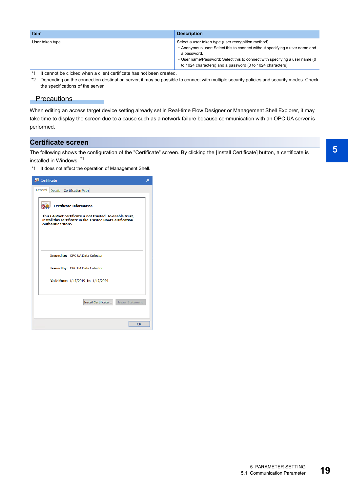| <b>Item</b>                                                            | <b>Description</b>                                                                                                                                                                                                                                                                              |
|------------------------------------------------------------------------|-------------------------------------------------------------------------------------------------------------------------------------------------------------------------------------------------------------------------------------------------------------------------------------------------|
| User token type                                                        | Select a user token type (user recognition method).<br>• Anonymous user: Select this to connect without specifying a user name and<br>a password.<br>• User name/Password: Select this to connect with specifying a user name (0)<br>to 1024 characters) and a password (0 to 1024 characters). |
| *1 It cannot be clicked when a client certificate has not been created |                                                                                                                                                                                                                                                                                                 |

<span id="page-20-0"></span>It cannot be clicked when a client certificate has not been created.

<span id="page-20-2"></span>\*2 Depending on the connection destination server, it may be possible to connect with multiple security policies and security modes. Check the specifications of the server.

### **Precautions**

When editing an access target device setting already set in Real-time Flow Designer or Management Shell Explorer, it may take time to display the screen due to a cause such as a network failure because communication with an OPC UA server is performed.

### <span id="page-20-1"></span>**Certificate screen**

The following shows the configuration of the "Certificate" screen. By clicking the [Install Certificate] button, a certificate is installed in Windows. \*1

\*1 It does not affect the operation of Management Shell.

| <b>Se</b> Certificate                                                                                                                                                                  | × |
|----------------------------------------------------------------------------------------------------------------------------------------------------------------------------------------|---|
| General<br>Details Certification Path                                                                                                                                                  |   |
| <b>Certificate Information</b><br>This CA Root certificate is not trusted. To enable trust,<br>install this certificate in the Trusted Root Certification<br><b>Authorities store.</b> |   |
|                                                                                                                                                                                        |   |
| <b>Issued to: OPC UA Data Collector</b>                                                                                                                                                |   |
| Issued by: OPC UA Data Collector                                                                                                                                                       |   |
| Valid from 1/17/2019 to 1/17/2024                                                                                                                                                      |   |
| Install Certificate<br><b>Issuer Statement</b>                                                                                                                                         |   |
| OK                                                                                                                                                                                     |   |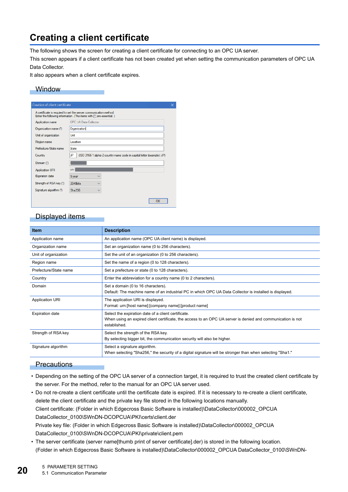### <span id="page-21-1"></span><span id="page-21-0"></span>**Creating a client certificate**

The following shows the screen for creating a client certificate for connecting to an OPC UA server.

This screen appears if a client certificate has not been created yet when setting the communication parameters of OPC UA Data Collector.

It also appears when a client certificate expires.

### **Window**

| Creation of client certificate                                                                                                            |                                                                              |  |  |  |  |  |
|-------------------------------------------------------------------------------------------------------------------------------------------|------------------------------------------------------------------------------|--|--|--|--|--|
| A certificate is required to set the server communication method.<br>Enter the following information. (The items with [*] are essential.) |                                                                              |  |  |  |  |  |
| Application name                                                                                                                          | <b>OPC UA Data Collector</b>                                                 |  |  |  |  |  |
| Organization name (*)                                                                                                                     | Organization                                                                 |  |  |  |  |  |
| Unit of organization                                                                                                                      | Unit                                                                         |  |  |  |  |  |
| Region name                                                                                                                               | Location                                                                     |  |  |  |  |  |
| Prefecture/State name                                                                                                                     | State                                                                        |  |  |  |  |  |
| Country                                                                                                                                   | JP<br>(ISO 3166-1 alpha-2 country name code in capital letter (example): JP) |  |  |  |  |  |
| Domain (*)                                                                                                                                |                                                                              |  |  |  |  |  |
| <b>Application URI</b>                                                                                                                    | um:                                                                          |  |  |  |  |  |
| <b>Expiration date</b>                                                                                                                    | 5 year<br>$\checkmark$                                                       |  |  |  |  |  |
| Strength of RSA key (*)                                                                                                                   | 2048bits                                                                     |  |  |  |  |  |
| Signature algorithm (*)                                                                                                                   | Sha256<br>$\checkmark$                                                       |  |  |  |  |  |
|                                                                                                                                           | OK                                                                           |  |  |  |  |  |

### Displayed items

| <b>Description</b>                                                                                                                                                                 |
|------------------------------------------------------------------------------------------------------------------------------------------------------------------------------------|
| An application name (OPC UA client name) is displayed.                                                                                                                             |
| Set an organization name (0 to 256 characters).                                                                                                                                    |
| Set the unit of an organization (0 to 256 characters).                                                                                                                             |
| Set the name of a region (0 to 128 characters).                                                                                                                                    |
| Set a prefecture or state (0 to 128 characters).                                                                                                                                   |
| Enter the abbreviation for a country name (0 to 2 characters).                                                                                                                     |
| Set a domain (0 to 16 characters).<br>Default: The machine name of an industrial PC in which OPC UA Data Collector is installed is displayed.                                      |
| The application URI is displayed.<br>Format: urn: [host name]: [company name]: [product name]                                                                                      |
| Select the expiration date of a client certificate.<br>When using an expired client certificate, the access to an OPC UA server is denied and communication is not<br>established. |
| Select the strength of the RSA key.<br>By selecting bigger bit, the communication security will also be higher.                                                                    |
| Select a signature algorithm.<br>".When selecting "Sha256," the security of a digital signature will be stronger than when selecting "Sha1.                                        |
|                                                                                                                                                                                    |

### **Precautions**

- Depending on the setting of the OPC UA server of a connection target, it is required to trust the created client certificate by the server. For the method, refer to the manual for an OPC UA server used.
- Do not re-create a client certificate until the certificate date is expired. If it is necessary to re-create a client certificate, delete the client certificate and the private key file stored in the following locations manually. Client certificate: (Folder in which Edgecross Basic Software is installed)\DataCollector\000002\_OPCUA DataCollector\_0100\SWnDN-DCOPCUA\PKI\certs\client.der Private key file: (Folder in which Edgecross Basic Software is installed)\DataCollector\000002\_OPCUA DataCollector\_0100\SWnDN-DCOPCUA\PKI\private\client.pem
- The server certificate (server name[thumb print of server certificate].der) is stored in the following location. (Folder in which Edgecross Basic Software is installed)\DataCollector\000002\_OPCUA DataCollector\_0100\SWnDN-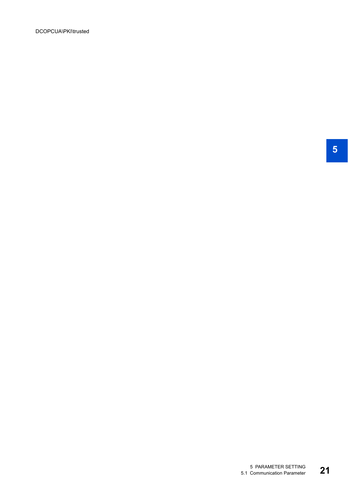DCOPCUA\PKI\trusted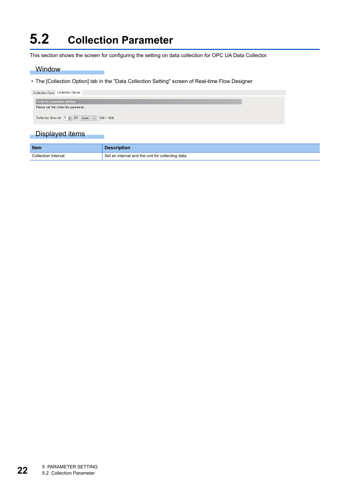# <span id="page-23-1"></span><span id="page-23-0"></span>**5.2 Collection Parameter**

m.

This section shows the screen for configuring the setting on data collection for OPC UA Data Collector.

### **Window**

• The [Collection Option] tab in the "Data Collection Setting" screen of Real-time Flow Designer

| Collection Data   Collection Option                                                                    |  |
|--------------------------------------------------------------------------------------------------------|--|
| Collection parameter settings                                                                          |  |
| Please set the collection parameter.                                                                   |  |
| Collection Interval $\begin{array}{ c c c c c }\n\hline\n5 & - & 00 & \mline\n\end{array}$ (500 - 900) |  |

### Displayed items

| <b>Item</b>         | <b>Description</b>                                |
|---------------------|---------------------------------------------------|
| Collection Interval | Set an interval and the unit for collecting data. |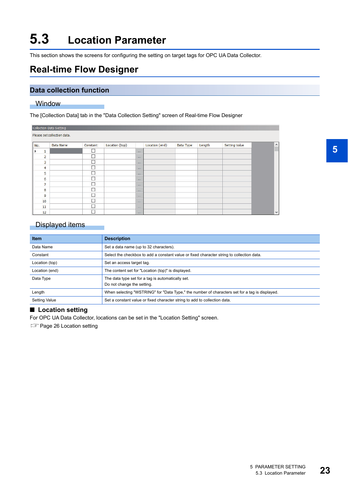# <span id="page-24-2"></span><span id="page-24-0"></span>**5.3 Location Parameter**

This section shows the screens for configuring the setting on target tags for OPC UA Data Collector.

### <span id="page-24-1"></span>**Real-time Flow Designer**

### **Data collection function**

#### **Window**

The [Collection Data] tab in the "Data Collection Setting" screen of Real-time Flow Designer

|     |                | Collection Data Setting     |          |                |             |                |                                 |        |                      |          |
|-----|----------------|-----------------------------|----------|----------------|-------------|----------------|---------------------------------|--------|----------------------|----------|
|     |                | Please set collection data. |          |                |             |                |                                 |        |                      |          |
| No. |                | Data Name                   | Constant | Location (top) |             | Location (end) | Data Type                       | Length | <b>Setting Value</b> | $\wedge$ |
|     | 1              |                             | Г        |                | 1.11        |                |                                 |        |                      |          |
|     | $\overline{a}$ |                             | Е        |                | 488         |                |                                 |        |                      |          |
|     | 3              |                             | г        |                | 4.11        |                |                                 |        |                      |          |
|     | 4              |                             |          |                | 1111        |                |                                 |        |                      |          |
|     | 5              |                             | г        |                | 888         |                |                                 |        |                      |          |
|     | 6              |                             |          |                | 1.111       |                |                                 |        |                      |          |
|     | $\overline{7}$ |                             | Г        |                | 1.11        |                |                                 |        |                      |          |
|     | 8              |                             | г        |                | 1.11        |                |                                 |        |                      |          |
|     | 9              |                             | г        |                | 444         |                |                                 |        |                      |          |
|     | 10             |                             | Г        |                | 1.11        |                |                                 |        |                      |          |
|     | 11             |                             | г,       |                | <b>DOM:</b> |                |                                 |        |                      |          |
|     | 12             |                             | г        |                | 1.11        |                | the contract of the contract of |        |                      | v        |

### Displayed items

| <b>Item</b>          | <b>Description</b>                                                                             |
|----------------------|------------------------------------------------------------------------------------------------|
| Data Name            | Set a data name (up to 32 characters).                                                         |
| Constant             | Select the checkbox to add a constant value or fixed character string to collection data.      |
| Location (top)       | Set an access target tag.                                                                      |
| Location (end)       | The content set for "Location (top)" is displayed.                                             |
| Data Type            | The data type set for a tag is automatically set.<br>Do not change the setting.                |
| Length               | When selecting "WSTRING" for "Data Type," the number of characters set for a tag is displayed. |
| <b>Setting Value</b> | Set a constant value or fixed character string to add to collection data.                      |

### ■ **Location setting**

For OPC UA Data Collector, locations can be set in the "Location Setting" screen.

**F** [Page 26 Location setting](#page-27-0)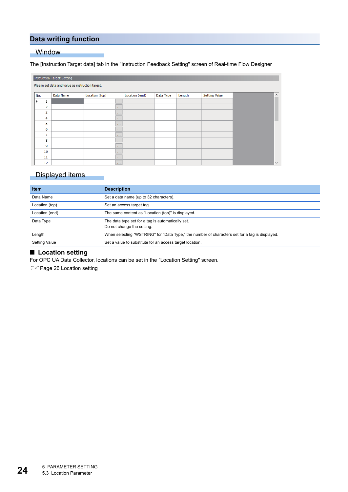### **Data writing function**

### Window

#### The [Instruction Target data] tab in the "Instruction Feedback Setting" screen of Real-time Flow Designer

|     | Instruction Target Setting                       |           |                |          |                |           |        |                      |  |                       |  |
|-----|--------------------------------------------------|-----------|----------------|----------|----------------|-----------|--------|----------------------|--|-----------------------|--|
|     | Please set data and value as instruction target. |           |                |          |                |           |        |                      |  |                       |  |
| No. |                                                  | Data Name | Location (top) |          | Location (end) | Data Type | Length | <b>Setting Value</b> |  | $\boldsymbol{\wedge}$ |  |
|     | 1                                                |           |                | $\cdots$ |                |           |        |                      |  |                       |  |
|     | 2                                                |           |                | $\cdots$ |                |           |        |                      |  |                       |  |
|     | 3                                                |           |                | $\cdots$ |                |           |        |                      |  |                       |  |
|     | 4                                                |           |                | $\cdots$ |                |           |        |                      |  |                       |  |
|     | 5                                                |           |                | $\cdots$ |                |           |        |                      |  |                       |  |
|     | 6                                                |           |                | $\cdots$ |                |           |        |                      |  |                       |  |
|     | 7                                                |           |                | $\cdots$ |                |           |        |                      |  |                       |  |
|     | 8                                                |           |                | $\cdots$ |                |           |        |                      |  |                       |  |
|     | 9                                                |           |                | $\cdots$ |                |           |        |                      |  |                       |  |
|     | 10                                               |           |                | $\cdots$ |                |           |        |                      |  |                       |  |
|     | 11                                               |           |                | $\cdots$ |                |           |        |                      |  |                       |  |
|     | 12 <sup>2</sup>                                  |           |                | $\cdots$ |                |           |        |                      |  | $\checkmark$          |  |

### Displayed items

| <b>Item</b>          | <b>Description</b>                                                                             |
|----------------------|------------------------------------------------------------------------------------------------|
| Data Name            | Set a data name (up to 32 characters).                                                         |
| Location (top)       | Set an access target tag.                                                                      |
| Location (end)       | The same content as "Location (top)" is displayed.                                             |
| Data Type            | The data type set for a tag is automatically set.<br>Do not change the setting.                |
| Length               | When selecting "WSTRING" for "Data Type," the number of characters set for a tag is displayed. |
| <b>Setting Value</b> | Set a value to substitute for an access target location.                                       |

### ■ **Location setting**

For OPC UA Data Collector, locations can be set in the "Location Setting" screen.

**F** [Page 26 Location setting](#page-27-0)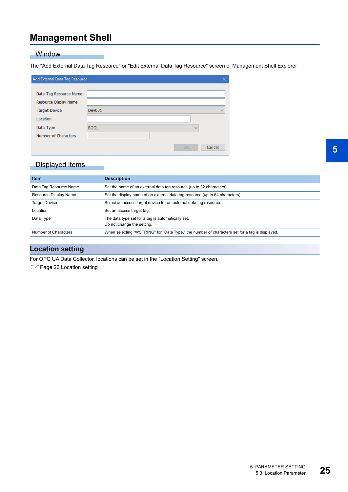### <span id="page-26-0"></span>**Management Shell**

#### **Window**

The "Add External Data Tag Resource" or "Edit External Data Tag Resource" screen of Management Shell Explorer

| Add External Data Tag Resource |             | ×            |
|--------------------------------|-------------|--------------|
|                                |             |              |
| Data Tag Resource Name         |             |              |
| Resource Display Name          |             |              |
| <b>Target Device</b>           | Dev001      | $\checkmark$ |
| Location                       |             |              |
| Data Type                      | <b>BOOL</b> | $\checkmark$ |
| Number of Characters           |             |              |
|                                | OK          | Cancel       |

### Displayed items

| <b>Item</b>            | <b>Description</b>                                                                             |
|------------------------|------------------------------------------------------------------------------------------------|
| Data Tag Resource Name | Set the name of an external data tag resource (up to 32 characters).                           |
| Resource Display Name  | Set the display name of an external data tag resource (up to 64 characters).                   |
| <b>Target Device</b>   | Select an access target device for an external data tag resource.                              |
| Location               | Set an access target tag.                                                                      |
| Data Type              | The data type set for a tag is automatically set.<br>Do not change the setting.                |
| Number of Characters   | When selecting "WSTRING" for "Data Type," the number of characters set for a tag is displayed. |

### **Location setting**

For OPC UA Data Collector, locations can be set in the "Location Setting" screen.

**[Page 26 Location setting](#page-27-0)**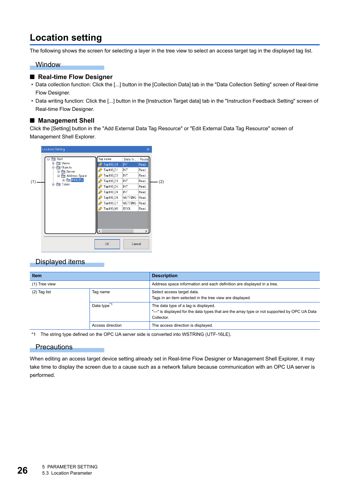### <span id="page-27-0"></span>**Location setting**

The following shows the screen for selecting a layer in the tree view to select an access target tag in the displayed tag list.

#### **Window**

### ■ **Real-time Flow Designer**

- Data collection function: Click the [...] button in the [Collection Data] tab in the "Data Collection Setting" screen of Real-time Flow Designer.
- Data writing function: Click the [...] button in the [Instruction Target data] tab in the "Instruction Feedback Setting" screen of Real-time Flow Designer.

### ■ Management Shell

Click the [Setting] button in the "Add External Data Tag Resource" or "Edit External Data Tag Resource" screen of Management Shell Explorer.



### Displayed items

| <b>Item</b>      |                         | <b>Description</b>                                                                                                                                  |  |
|------------------|-------------------------|-----------------------------------------------------------------------------------------------------------------------------------------------------|--|
| (1) Tree view    |                         | Address space information and each definition are displayed in a tree.                                                                              |  |
| (2) Tag list     | Tag name                | Select access target data.<br>Tags in an item selected in the tree view are displayed.                                                              |  |
|                  | Data type <sup>*1</sup> | The data type of a tag is displayed.<br>"---" is displayed for the data types that are the array type or not supported by OPC UA Data<br>Collector. |  |
| Access direction |                         | The access direction is displayed.                                                                                                                  |  |

<span id="page-27-1"></span>\*1 The string type defined on the OPC UA server side is converted into WSTRING (UTF-16LE).

#### **Precautions**

When editing an access target device setting already set in Real-time Flow Designer or Management Shell Explorer, it may take time to display the screen due to a cause such as a network failure because communication with an OPC UA server is performed.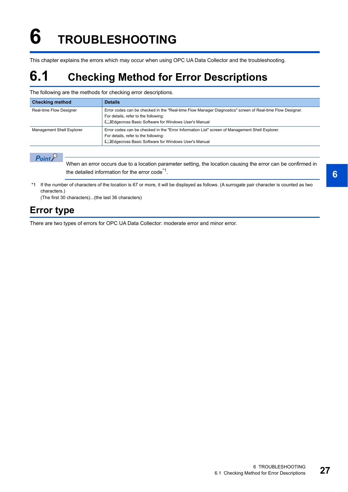# <span id="page-28-0"></span>**6 TROUBLESHOOTING**

This chapter explains the errors which may occur when using OPC UA Data Collector and the troubleshooting.

# <span id="page-28-1"></span>**6.1 Checking Method for Error Descriptions**

The following are the methods for checking error descriptions.

| <b>Checking method</b>    | <b>Details</b>                                                                                                                                                                                                    |
|---------------------------|-------------------------------------------------------------------------------------------------------------------------------------------------------------------------------------------------------------------|
| Real-time Flow Designer   | Error codes can be checked in the "Real-time Flow Manager Diagnostics" screen of Real-time Flow Designer.<br>For details, refer to the following:<br><b>L</b> IEdgecross Basic Software for Windows User's Manual |
| Management Shell Explorer | Error codes can be checked in the "Error Information List" screen of Management Shell Explorer.<br>For details, refer to the following:<br><b>L</b> edgecross Basic Software for Windows User's Manual            |

 $Point<sup>0</sup>$ 

When an error occurs due to a location parameter setting, the location causing the error can be confirmed in the detailed information for the error  $\text{code}^*$ <sup>1</sup>.

\*1 If the number of characters of the location is 67 or more, it will be displayed as follows. (A surrogate pair character is counted as two characters.)

(The first 30 characters)...(the last 36 characters)

### <span id="page-28-2"></span>**Error type**

There are two types of errors for OPC UA Data Collector: moderate error and minor error.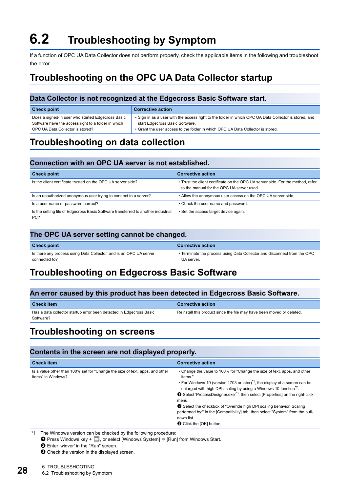# <span id="page-29-6"></span><span id="page-29-0"></span>**6.2 Troubleshooting by Symptom**

If a function of OPC UA Data Collector does not perform properly, check the applicable items in the following and troubleshoot the error.

### <span id="page-29-1"></span>**Troubleshooting on the OPC UA Data Collector startup**

### **Data Collector is not recognized at the Edgecross Basic Software start.**

| <b>Check point</b>                                  | <b>Corrective action</b>                                                                              |
|-----------------------------------------------------|-------------------------------------------------------------------------------------------------------|
| Does a signed-in user who started Edgecross Basic   | . Sign in as a user with the access right to the folder in which OPC UA Data Collector is stored, and |
| Software have the access right to a folder in which | start Edgecross Basic Software.                                                                       |
| OPC UA Data Collector is stored?                    | • Grant the user access to the folder in which OPC UA Data Collector is stored.                       |

### <span id="page-29-2"></span>**Troubleshooting on data collection**

### **Connection with an OPC UA server is not established.**

| <b>Check point</b>                                                                       | <b>Corrective action</b>                                                                                                     |
|------------------------------------------------------------------------------------------|------------------------------------------------------------------------------------------------------------------------------|
| Is the client certificate trusted on the OPC UA server side?                             | • Trust the client certificate on the OPC UA server side. For the method, refer<br>to the manual for the OPC UA server used. |
| Is an unauthorized anonymous user trying to connect to a server?                         | • Allow the anonymous user access on the OPC UA server side.                                                                 |
| Is a user name or password correct?                                                      | • Check the user name and password.                                                                                          |
| Is the setting file of Edgecross Basic Software transferred to another industrial<br>PC? | • Set the access target device again.                                                                                        |

### **The OPC UA server setting cannot be changed.**

| <b>Check point</b>                                                 | <b>Corrective action</b>                                                 |
|--------------------------------------------------------------------|--------------------------------------------------------------------------|
| Is there any process using Data Collector, and is an OPC UA server | • Terminate the process using Data Collector and disconnect from the OPC |
| connected to?                                                      | UA server.                                                               |

### <span id="page-29-3"></span>**Troubleshooting on Edgecross Basic Software**

### **An error caused by this product has been detected in Edgecross Basic Software.**

| <b>Check item</b>                                                                | <b>Corrective action</b>                                              |
|----------------------------------------------------------------------------------|-----------------------------------------------------------------------|
| Has a data collector startup error been detected in Edgecross Basic<br>Software? | Reinstall this product since the file may have been moved or deleted. |

### <span id="page-29-4"></span>**Troubleshooting on screens**

### **Contents in the screen are not displayed properly.**

| <b>Check item</b>                                                                                  | <b>Corrective action</b>                                                                                                                                                                                                                                                                                                                                                                                                                                                                                                                                                                           |
|----------------------------------------------------------------------------------------------------|----------------------------------------------------------------------------------------------------------------------------------------------------------------------------------------------------------------------------------------------------------------------------------------------------------------------------------------------------------------------------------------------------------------------------------------------------------------------------------------------------------------------------------------------------------------------------------------------------|
| Is a value other than 100% set for "Change the size of text, apps, and other<br>items" in Windows? | • Change the value to 100% for "Change the size of text, apps, and other<br>items."<br>• For Windows 10 (version 1703 or later) <sup>*1</sup> , the display of a screen can be<br>enlarged with high DPI scaling by using a Windows 10 function <sup>*2</sup> .<br>Select 'ProcessDesigner.exe' <sup>*3</sup> , then select [Properties] on the right-click<br>menu.<br><b><sup>●</sup></b> Select the checkbox of "Override high DPI scaling behavior. Scaling<br>performed by:" in the [Compatibility] tab, then select "System" from the pull-<br>down list.<br><b>3</b> Click the [OK] button. |

<span id="page-29-5"></span>\*1 The Windows version can be checked by the following procedure:

**O** Press Windows key +  $\overline{\mathbb{R}}$ , or select [Windows System]  $\Rightarrow$  [Run] from Windows Start.

**<sup>2</sup>** Enter 'winver' in the "Run" screen.

 $\Theta$  Check the version in the displayed screen.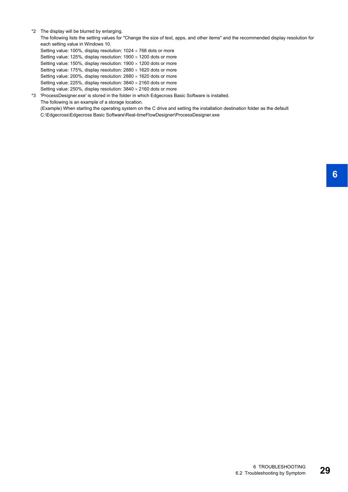<span id="page-30-0"></span>\*2 The display will be blurred by enlarging.

The following lists the setting values for "Change the size of text, apps, and other items" and the recommended display resolution for each setting value in Windows 10.

Setting value: 100%, display resolution:  $1024 \times 768$  dots or more

Setting value: 125%, display resolution:  $1900 \times 1200$  dots or more

Setting value: 150%, display resolution:  $1900 \times 1200$  dots or more

Setting value: 175%, display resolution:  $2880 \times 1620$  dots or more

Setting value: 200%, display resolution:  $2880 \times 1620$  dots or more

Setting value: 225%, display resolution:  $3840 \times 2160$  dots or more Setting value: 250%, display resolution:  $3840 \times 2160$  dots or more

<span id="page-30-1"></span>\*3 'ProcessDesigner.exe' is stored in the folder in which Edgecross Basic Software is installed.

The following is an example of a storage location.

(Example) When starting the operating system on the C drive and setting the installation destination folder as the default

C:\Edgecross\Edgecross Basic Software\Real-timeFlowDesigner\ProcessDesigner.exe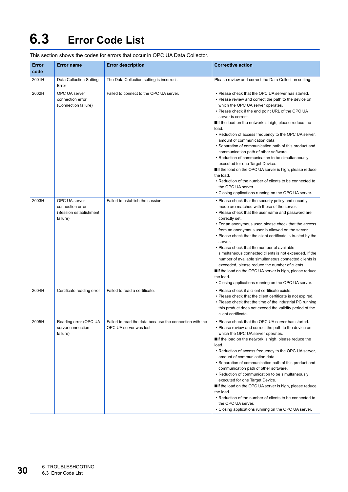# <span id="page-31-1"></span><span id="page-31-0"></span>**6.3 Error Code List**

| Error<br>code | <b>Error name</b>                                                       | <b>Error description</b>                                                           | <b>Corrective action</b>                                                                                                                                                                                                                                                                                                                                                                                                                                                                                                                                                                                                                                                                                                                                                                            |
|---------------|-------------------------------------------------------------------------|------------------------------------------------------------------------------------|-----------------------------------------------------------------------------------------------------------------------------------------------------------------------------------------------------------------------------------------------------------------------------------------------------------------------------------------------------------------------------------------------------------------------------------------------------------------------------------------------------------------------------------------------------------------------------------------------------------------------------------------------------------------------------------------------------------------------------------------------------------------------------------------------------|
| 2001H         | Data Collection Setting<br>Error                                        | The Data Collection setting is incorrect.                                          | Please review and correct the Data Collection setting.                                                                                                                                                                                                                                                                                                                                                                                                                                                                                                                                                                                                                                                                                                                                              |
| 2002H         | OPC UA server<br>connection error<br>(Connection failure)               | Failed to connect to the OPC UA server.                                            | • Please check that the OPC UA server has started.<br>• Please review and correct the path to the device on<br>which the OPC UA server operates.<br>• Please check if the end point URL of the OPC UA<br>server is correct.<br>If the load on the network is high, please reduce the<br>load.<br>• Reduction of access frequency to the OPC UA server,<br>amount of communication data.<br>• Separation of communication path of this product and<br>communication path of other software.<br>• Reduction of communication to be simultaneously<br>executed for one Target Device.<br>If the load on the OPC UA server is high, please reduce<br>the load.<br>• Reduction of the number of clients to be connected to<br>the OPC UA server.<br>• Closing applications running on the OPC UA server. |
| 2003H         | OPC UA server<br>connection error<br>(Session establishment<br>failure) | Failed to establish the session.                                                   | • Please check that the security policy and security<br>mode are matched with those of the server.<br>• Please check that the user name and password are<br>correctly set.<br>• For an anonymous user, please check that the access<br>from an anonymous user is allowed on the server.<br>• Please check that the client certificate is trusted by the<br>server.<br>• Please check that the number of available<br>simultaneous connected clients is not exceeded. If the<br>number of available simultaneous connected clients is<br>exceeded, please reduce the number of clients.<br>■If the load on the OPC UA server is high, please reduce<br>the load.<br>• Closing applications running on the OPC UA server.                                                                             |
| 2004H         | Certificate reading error                                               | Failed to read a certificate.                                                      | • Please check if a client certificate exists.<br>• Please check that the client certificate is not expired.<br>• Please check that the time of the industrial PC running<br>this product does not exceed the validity period of the<br>client certificate.                                                                                                                                                                                                                                                                                                                                                                                                                                                                                                                                         |
| 2005H         | Reading error (OPC UA<br>server connection<br>failure)                  | Failed to read the data because the connection with the<br>OPC UA server was lost. | Please check that the OPC UA server has started.<br>• Please review and correct the path to the device on<br>which the OPC UA server operates.<br>If the load on the network is high, please reduce the<br>load.<br>• Reduction of access frequency to the OPC UA server,<br>amount of communication data.<br>• Separation of communication path of this product and<br>communication path of other software.<br>• Reduction of communication to be simultaneously<br>executed for one Target Device.<br>If the load on the OPC UA server is high, please reduce<br>the load.<br>• Reduction of the number of clients to be connected to<br>the OPC UA server.<br>• Closing applications running on the OPC UA server.                                                                              |

This section shows the codes for errors that occur in OPC UA Data Collector.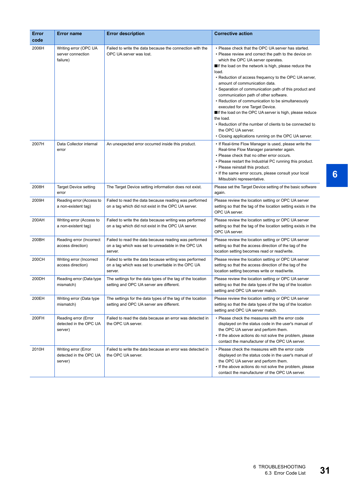| Error<br>code | <b>Error name</b>                                         | <b>Error description</b>                                                                                                | <b>Corrective action</b>                                                                                                                                                                                                                                                                                                                                                                                                                                                                                                                                                                                                                                                                                                 |
|---------------|-----------------------------------------------------------|-------------------------------------------------------------------------------------------------------------------------|--------------------------------------------------------------------------------------------------------------------------------------------------------------------------------------------------------------------------------------------------------------------------------------------------------------------------------------------------------------------------------------------------------------------------------------------------------------------------------------------------------------------------------------------------------------------------------------------------------------------------------------------------------------------------------------------------------------------------|
| 2006H         | Writing error (OPC UA<br>server connection<br>failure)    | Failed to write the data because the connection with the<br>OPC UA server was lost.                                     | • Please check that the OPC UA server has started.<br>• Please review and correct the path to the device on<br>which the OPC UA server operates.<br>If the load on the network is high, please reduce the<br>load.<br>• Reduction of access frequency to the OPC UA server,<br>amount of communication data.<br>• Separation of communication path of this product and<br>communication path of other software.<br>• Reduction of communication to be simultaneously<br>executed for one Target Device.<br>If the load on the OPC UA server is high, please reduce<br>the load.<br>• Reduction of the number of clients to be connected to<br>the OPC UA server.<br>• Closing applications running on the OPC UA server. |
| 2007H         | Data Collector internal<br>error                          | An unexpected error occurred inside this product.                                                                       | • If Real-time Flow Manager is used, please write the<br>Real-time Flow Manager parameter again.<br>• Please check that no other error occurs.<br>• Please restart the Industrial PC running this product.<br>• Please reinstall this product.<br>• If the same error occurs, please consult your local<br>Mitsubishi representative.                                                                                                                                                                                                                                                                                                                                                                                    |
| 2008H         | <b>Target Device setting</b><br>error                     | The Target Device setting information does not exist.                                                                   | Please set the Target Device setting of the basic software<br>again.                                                                                                                                                                                                                                                                                                                                                                                                                                                                                                                                                                                                                                                     |
| 2009H         | Reading error (Access to<br>a non-existent tag)           | Failed to read the data because reading was performed<br>on a tag which did not exist in the OPC UA server.             | Please review the location setting or OPC UA server<br>setting so that the tag of the location setting exists in the<br>OPC UA server.                                                                                                                                                                                                                                                                                                                                                                                                                                                                                                                                                                                   |
| 200AH         | Writing error (Access to<br>a non-existent tag)           | Failed to write the data because writing was performed<br>on a tag which did not exist in the OPC UA server.            | Please review the location setting or OPC UA server<br>setting so that the tag of the location setting exists in the<br>OPC UA server.                                                                                                                                                                                                                                                                                                                                                                                                                                                                                                                                                                                   |
| 200BH         | Reading error (Incorrect<br>access direction)             | Failed to read the data because reading was performed<br>on a tag which was set to unreadable in the OPC UA<br>server.  | Please review the location setting or OPC UA server<br>setting so that the access direction of the tag of the<br>location setting becomes read or read/write.                                                                                                                                                                                                                                                                                                                                                                                                                                                                                                                                                            |
| 200CH         | Writing error (Incorrect<br>access direction)             | Failed to write the data because writing was performed<br>on a tag which was set to unwritable in the OPC UA<br>server. | Please review the location setting or OPC UA server<br>setting so that the access direction of the tag of the<br>location setting becomes write or read/write.                                                                                                                                                                                                                                                                                                                                                                                                                                                                                                                                                           |
| 200DH         | Reading error (Data type<br>mismatch)                     | The settings for the data types of the tag of the location<br>setting and OPC UA server are different.                  | Please review the location setting or OPC UA server<br>setting so that the data types of the tag of the location<br>setting and OPC UA server match.                                                                                                                                                                                                                                                                                                                                                                                                                                                                                                                                                                     |
| 200EH         | Writing error (Data type<br>mismatch)                     | The settings for the data types of the tag of the location<br>setting and OPC UA server are different.                  | Please review the location setting or OPC UA server<br>setting so that the data types of the tag of the location<br>setting and OPC UA server match.                                                                                                                                                                                                                                                                                                                                                                                                                                                                                                                                                                     |
| 200FH         | Reading error (Error<br>detected in the OPC UA<br>server) | Failed to read the data because an error was detected in<br>the OPC UA server.                                          | • Please check the measures with the error code<br>displayed on the status code in the user's manual of<br>the OPC UA server and perform them.<br>• If the above actions do not solve the problem, please<br>contact the manufacturer of the OPC UA server.                                                                                                                                                                                                                                                                                                                                                                                                                                                              |
| 2010H         | Writing error (Error<br>detected in the OPC UA<br>server) | Failed to write the data because an error was detected in<br>the OPC UA server.                                         | • Please check the measures with the error code<br>displayed on the status code in the user's manual of<br>the OPC UA server and perform them.<br>• If the above actions do not solve the problem, please<br>contact the manufacturer of the OPC UA server.                                                                                                                                                                                                                                                                                                                                                                                                                                                              |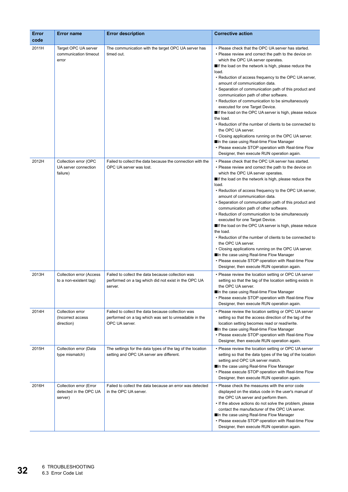| Error<br>code | <b>Error name</b>                                            | <b>Error description</b>                                                                                                     | <b>Corrective action</b>                                                                                                                                                                                                                                                                                                                                                                                                                                                                                                                                                                                                                                                                                                                                                                                                                                                    |
|---------------|--------------------------------------------------------------|------------------------------------------------------------------------------------------------------------------------------|-----------------------------------------------------------------------------------------------------------------------------------------------------------------------------------------------------------------------------------------------------------------------------------------------------------------------------------------------------------------------------------------------------------------------------------------------------------------------------------------------------------------------------------------------------------------------------------------------------------------------------------------------------------------------------------------------------------------------------------------------------------------------------------------------------------------------------------------------------------------------------|
| 2011H         | Target OPC UA server<br>communication timeout<br>error       | The communication with the target OPC UA server has<br>timed out.                                                            | • Please check that the OPC UA server has started.<br>• Please review and correct the path to the device on<br>which the OPC UA server operates.<br>If the load on the network is high, please reduce the<br>load.<br>• Reduction of access frequency to the OPC UA server,<br>amount of communication data.<br>• Separation of communication path of this product and<br>communication path of other software.<br>• Reduction of communication to be simultaneously<br>executed for one Target Device.<br>If the load on the OPC UA server is high, please reduce<br>the load.<br>• Reduction of the number of clients to be connected to<br>the OPC UA server.<br>• Closing applications running on the OPC UA server.<br>■In the case using Real-time Flow Manager<br>• Please execute STOP operation with Real-time Flow<br>Designer, then execute RUN operation again. |
| 2012H         | Collection error (OPC<br>UA server connection<br>failure)    | Failed to collect the data because the connection with the<br>OPC UA server was lost.                                        | • Please check that the OPC UA server has started.<br>• Please review and correct the path to the device on<br>which the OPC UA server operates.<br>If the load on the network is high, please reduce the<br>load.<br>• Reduction of access frequency to the OPC UA server,<br>amount of communication data.<br>• Separation of communication path of this product and<br>communication path of other software.<br>• Reduction of communication to be simultaneously<br>executed for one Target Device.<br>If the load on the OPC UA server is high, please reduce<br>the load.<br>• Reduction of the number of clients to be connected to<br>the OPC UA server.<br>• Closing applications running on the OPC UA server.<br>■In the case using Real-time Flow Manager<br>• Please execute STOP operation with Real-time Flow<br>Designer, then execute RUN operation again. |
| 2013H         | <b>Collection error (Access</b><br>to a non-existent tag)    | Failed to collect the data because collection was<br>performed on a tag which did not exist in the OPC UA<br>server.         | • Please review the location setting or OPC UA server<br>setting so that the tag of the location setting exists in<br>the OPC UA server.<br><b>■In the case using Real-time Flow Manager</b><br>• Please execute STOP operation with Real-time Flow<br>Designer, then execute RUN operation again.                                                                                                                                                                                                                                                                                                                                                                                                                                                                                                                                                                          |
| 2014H         | Collection error<br>(Incorrect access<br>direction)          | Failed to collect the data because collection was<br>performed on a tag which was set to unreadable in the<br>OPC UA server. | • Please review the location setting or OPC UA server<br>setting so that the access direction of the tag of the<br>location setting becomes read or read/write.<br>In the case using Real-time Flow Manager<br>• Please execute STOP operation with Real-time Flow<br>Designer, then execute RUN operation again.                                                                                                                                                                                                                                                                                                                                                                                                                                                                                                                                                           |
| 2015H         | Collection error (Data<br>type mismatch)                     | The settings for the data types of the tag of the location<br>setting and OPC UA server are different.                       | • Please review the location setting or OPC UA server<br>setting so that the data types of the tag of the location<br>setting and OPC UA server match.<br>In the case using Real-time Flow Manager<br>• Please execute STOP operation with Real-time Flow<br>Designer, then execute RUN operation again.                                                                                                                                                                                                                                                                                                                                                                                                                                                                                                                                                                    |
| 2016H         | Collection error (Error<br>detected in the OPC UA<br>server) | Failed to collect the data because an error was detected<br>in the OPC UA server.                                            | • Please check the measures with the error code<br>displayed on the status code in the user's manual of<br>the OPC UA server and perform them.<br>• If the above actions do not solve the problem, please<br>contact the manufacturer of the OPC UA server.<br>■In the case using Real-time Flow Manager<br>• Please execute STOP operation with Real-time Flow<br>Designer, then execute RUN operation again.                                                                                                                                                                                                                                                                                                                                                                                                                                                              |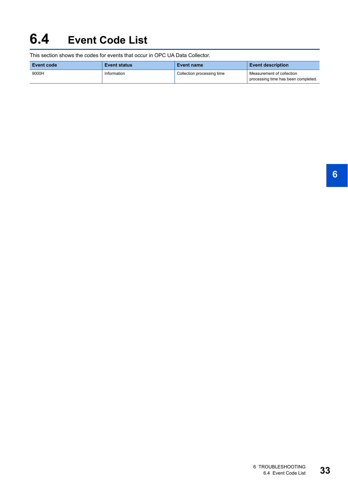# <span id="page-34-0"></span>**6.4 Event Code List**

This section shows the codes for events that occur in OPC UA Data Collector.

| Event code | <b>Event status</b> | <b>Event name</b>          | <b>Event description</b>                                         |
|------------|---------------------|----------------------------|------------------------------------------------------------------|
| 9000H      | Information         | Collection processing time | Measurement of collection<br>processing time has been completed. |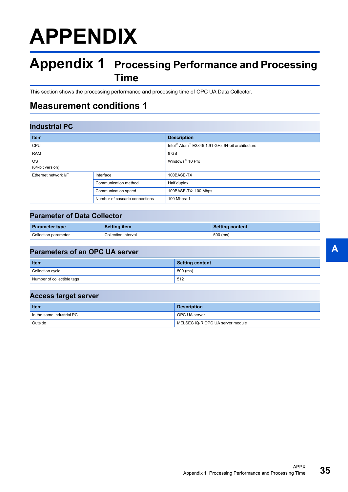# <span id="page-36-0"></span>**APPENDIX**

## <span id="page-36-1"></span>**Appendix 1 Processing Performance and Processing Time**

This section shows the processing performance and processing time of OPC UA Data Collector.

### <span id="page-36-2"></span>**Measurement conditions 1**

### **Industrial PC**

| <b>Item</b>                   |                               | <b>Description</b>                                                      |  |
|-------------------------------|-------------------------------|-------------------------------------------------------------------------|--|
| <b>CPU</b>                    |                               | Intel <sup>®</sup> Atom <sup>™</sup> E3845 1.91 GHz 64-bit architecture |  |
| <b>RAM</b>                    |                               | 8 GB                                                                    |  |
| <b>OS</b><br>(64-bit version) |                               | Windows <sup>®</sup> 10 Pro                                             |  |
|                               |                               |                                                                         |  |
| Ethernet network I/F          | Interface                     | 100BASE-TX                                                              |  |
|                               | Communication method          | Half duplex                                                             |  |
|                               | Communication speed           | 100BASE-TX: 100 Mbps                                                    |  |
|                               | Number of cascade connections | 100 Mbps: 1                                                             |  |

### **Parameter of Data Collector**

| <b>Parameter type</b> | <b>Setting item</b> | <b>Setting content</b> |
|-----------------------|---------------------|------------------------|
| Collection parameter  | Collection interval | $500$ (ms)             |

### **Parameters of an OPC UA server**

| <b>Item</b>                | Setting content |
|----------------------------|-----------------|
| Collection cycle           | 500 (ms)        |
| Number of collectible tags | 512             |

### **Access target server**

| <b>Item</b>               | <b>Description</b>               |
|---------------------------|----------------------------------|
| In the same industrial PC | <b>OPC UA server</b>             |
| Outside                   | MELSEC iQ-R OPC UA server module |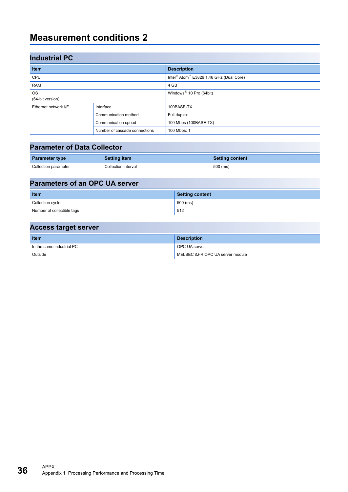### <span id="page-37-0"></span>**Measurement conditions 2**

| <b>Industrial PC</b>              |                               |                                                                 |  |
|-----------------------------------|-------------------------------|-----------------------------------------------------------------|--|
| <b>Item</b>                       |                               | <b>Description</b>                                              |  |
| CPU                               |                               | Intel <sup>®</sup> Atom <sup>™</sup> E3826 1.46 GHz (Dual Core) |  |
| <b>RAM</b>                        |                               | 4 GB                                                            |  |
| <b>OS</b><br>(64-bit version)     |                               | Windows <sup>®</sup> 10 Pro (64bit)                             |  |
| Interface<br>Ethernet network I/F |                               | 100BASE-TX                                                      |  |
|                                   | Communication method          | Full duplex                                                     |  |
|                                   | Communication speed           | 100 Mbps (100BASE-TX)                                           |  |
|                                   | Number of cascade connections | 100 Mbps: 1                                                     |  |

### **Parameter of Data Collector**

| <b>Parameter type</b> | <b>Setting item</b> | <b>Setting content</b> |
|-----------------------|---------------------|------------------------|
| Collection parameter  | Collection interval | $500$ (ms)             |

# **Parameters of an OPC UA server**

| <b>Item</b>                | <b>Setting content</b> |
|----------------------------|------------------------|
| Collection cycle           | 500 (ms)               |
| Number of collectible tags | 512                    |

### **Access target server**

| <b>Item</b>               | <b>Description</b>               |
|---------------------------|----------------------------------|
| In the same industrial PC | <b>OPC UA server</b>             |
| Outside                   | MELSEC iQ-R OPC UA server module |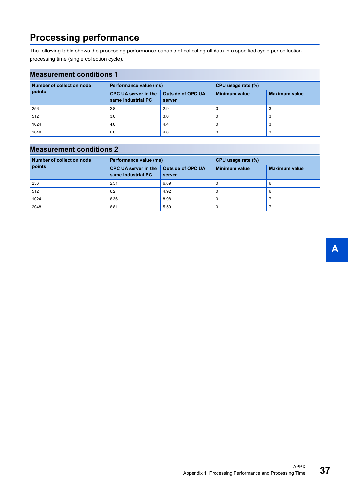### <span id="page-38-0"></span>**Processing performance**

The following table shows the processing performance capable of collecting all data in a specified cycle per collection processing time (single collection cycle).

### **Measurement conditions 1**

| <b>Number of collection node</b> | Performance value (ms)                            |                                    | CPU usage rate (%) |                      |
|----------------------------------|---------------------------------------------------|------------------------------------|--------------------|----------------------|
| points                           | <b>OPC UA server in the</b><br>same industrial PC | <b>Outside of OPC UA</b><br>server | Minimum value      | <b>Maximum value</b> |
| 256                              | 2.8                                               | 2.9                                |                    |                      |
| 512                              | 3.0                                               | 3.0                                |                    |                      |
| 1024                             | 4.0                                               | 4.4                                |                    |                      |
| 2048                             | 6.0                                               | 4.6                                |                    |                      |

### **Measurement conditions 2**

| Number of collection node | Performance value (ms)                            |                                    | CPU usage rate (%)   |                      |
|---------------------------|---------------------------------------------------|------------------------------------|----------------------|----------------------|
| points                    | <b>OPC UA server in the</b><br>same industrial PC | <b>Outside of OPC UA</b><br>server | <b>Minimum value</b> | <b>Maximum value</b> |
| 256                       | 2.51                                              | 6.89                               | U                    | 6                    |
| 512                       | 6.2                                               | 4.92                               | 0                    | 6                    |
| 1024                      | 6.36                                              | 8.98                               |                      |                      |
| 2048                      | 6.81                                              | 5.59                               | U                    |                      |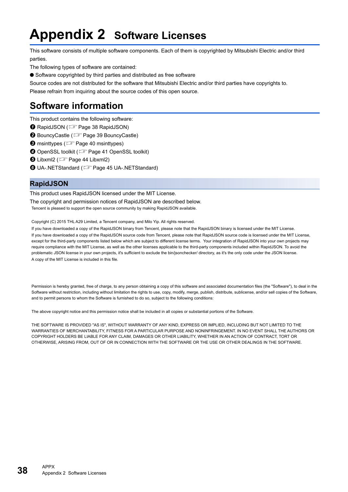# <span id="page-39-0"></span>**Appendix 2 Software Licenses**

This software consists of multiple software components. Each of them is copyrighted by Mitsubishi Electric and/or third parties.

The following types of software are contained:

● Software copyrighted by third parties and distributed as free software

Source codes are not distributed for the software that Mitsubishi Electric and/or third parties have copyrights to.

Please refrain from inquiring about the source codes of this open source.

### <span id="page-39-1"></span>**Software information**

This product contains the following software:

- **O** RapidJSON (F[Page 38 RapidJSON\)](#page-39-2)
- <sup>2</sup> BouncyCastle ( $F$  [Page 39 BouncyCastle](#page-40-0))
- **O** msinttypes (Figure 40 msinttypes)
- **O** OpenSSL toolkit ( $\sqrt{p}$  [Page 41 OpenSSL toolkit\)](#page-42-0)
- $\bigoplus$  Libxml2 ( $\mathbb{F}$  [Page 44 Libxml2](#page-45-0))
- **O** UA-.NETStandard (CF [Page 45 UA-.NETStandard](#page-46-0))

### <span id="page-39-2"></span>**RapidJSON**

This product uses RapidJSON licensed under the MIT License.

The copyright and permission notices of RapidJSON are described below. Tencent is pleased to support the open source community by making RapidJSON available.

Copyright (C) 2015 THL A29 Limited, a Tencent company, and Milo Yip. All rights reserved.

If you have downloaded a copy of the RapidJSON binary from Tencent, please note that the RapidJSON binary is licensed under the MIT License. If you have downloaded a copy of the RapidJSON source code from Tencent, please note that RapidJSON source code is licensed under the MIT License, except for the third-party components listed below which are subject to different license terms. Your integration of RapidJSON into your own projects may require compliance with the MIT License, as well as the other licenses applicable to the third-party components included within RapidJSON. To avoid the problematic JSON license in your own projects, it's sufficient to exclude the bin/jsonchecker/ directory, as it's the only code under the JSON license. A copy of the MIT License is included in this file.

Permission is hereby granted, free of charge, to any person obtaining a copy of this software and associated documentation files (the "Software"), to deal in the Software without restriction, including without limitation the rights to use, copy, modify, merge, publish, distribute, sublicense, and/or sell copies of the Software, and to permit persons to whom the Software is furnished to do so, subject to the following conditions:

The above copyright notice and this permission notice shall be included in all copies or substantial portions of the Software.

THE SOFTWARE IS PROVIDED "AS IS", WITHOUT WARRANTY OF ANY KIND, EXPRESS OR IMPLIED, INCLUDING BUT NOT LIMITED TO THE WARRANTIES OF MERCHANTABILITY, FITNESS FOR A PARTICULAR PURPOSE AND NONINFRINGEMENT. IN NO EVENT SHALL THE AUTHORS OR COPYRIGHT HOLDERS BE LIABLE FOR ANY CLAIM, DAMAGES OR OTHER LIABILITY, WHETHER IN AN ACTION OF CONTRACT, TORT OR OTHERWISE, ARISING FROM, OUT OF OR IN CONNECTION WITH THE SOFTWARE OR THE USE OR OTHER DEALINGS IN THE SOFTWARE.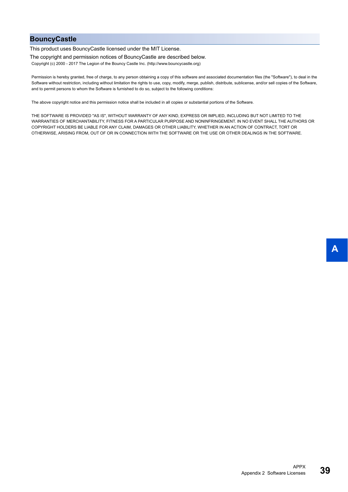### <span id="page-40-0"></span>**BouncyCastle**

This product uses BouncyCastle licensed under the MIT License.

The copyright and permission notices of BouncyCastle are described below.

Copyright (c) 2000 - 2017 The Legion of the Bouncy Castle Inc. (http://www.bouncycastle.org)

Permission is hereby granted, free of charge, to any person obtaining a copy of this software and associated documentation files (the "Software"), to deal in the Software without restriction, including without limitation the rights to use, copy, modify, merge, publish, distribute, sublicense, and/or sell copies of the Software, and to permit persons to whom the Software is furnished to do so, subject to the following conditions:

The above copyright notice and this permission notice shall be included in all copies or substantial portions of the Software.

THE SOFTWARE IS PROVIDED "AS IS", WITHOUT WARRANTY OF ANY KIND, EXPRESS OR IMPLIED, INCLUDING BUT NOT LIMITED TO THE WARRANTIES OF MERCHANTABILITY, FITNESS FOR A PARTICULAR PURPOSE AND NONINFRINGEMENT. IN NO EVENT SHALL THE AUTHORS OR COPYRIGHT HOLDERS BE LIABLE FOR ANY CLAIM, DAMAGES OR OTHER LIABILITY, WHETHER IN AN ACTION OF CONTRACT, TORT OR OTHERWISE, ARISING FROM, OUT OF OR IN CONNECTION WITH THE SOFTWARE OR THE USE OR OTHER DEALINGS IN THE SOFTWARE.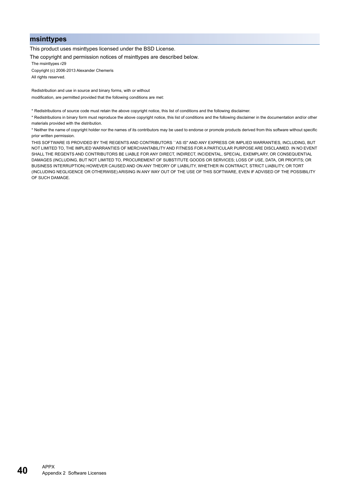#### <span id="page-41-0"></span>**msinttypes**

This product uses msinttypes licensed under the BSD License.

The copyright and permission notices of msinttypes are described below.

The msinttypes r29

Copyright (c) 2006-2013 Alexander Chemeris All rights reserved.

Redistribution and use in source and binary forms, with or without modification, are permitted provided that the following conditions are met:

\* Redistributions of source code must retain the above copyright notice, this list of conditions and the following disclaimer.

\* Redistributions in binary form must reproduce the above copyright notice, this list of conditions and the following disclaimer in the documentation and/or other materials provided with the distribution.

\* Neither the name of copyright holder nor the names of its contributors may be used to endorse or promote products derived from this software without specific prior written permission.

THIS SOFTWARE IS PROVIDED BY THE REGENTS AND CONTRIBUTORS "AS IS" AND ANY EXPRESS OR IMPLIED WARRANTIES, INCLUDING, BUT NOT LIMITED TO, THE IMPLIED WARRANTIES OF MERCHANTABILITY AND FITNESS FOR A PARTICULAR PURPOSE ARE DISCLAIMED. IN NO EVENT SHALL THE REGENTS AND CONTRIBUTORS BE LIABLE FOR ANY DIRECT, INDIRECT, INCIDENTAL, SPECIAL, EXEMPLARY, OR CONSEQUENTIAL DAMAGES (INCLUDING, BUT NOT LIMITED TO, PROCUREMENT OF SUBSTITUTE GOODS OR SERVICES; LOSS OF USE, DATA, OR PROFITS; OR BUSINESS INTERRUPTION) HOWEVER CAUSED AND ON ANY THEORY OF LIABILITY, WHETHER IN CONTRACT, STRICT LIABILITY, OR TORT (INCLUDING NEGLIGENCE OR OTHERWISE) ARISING IN ANY WAY OUT OF THE USE OF THIS SOFTWARE, EVEN IF ADVISED OF THE POSSIBILITY OF SUCH DAMAGE.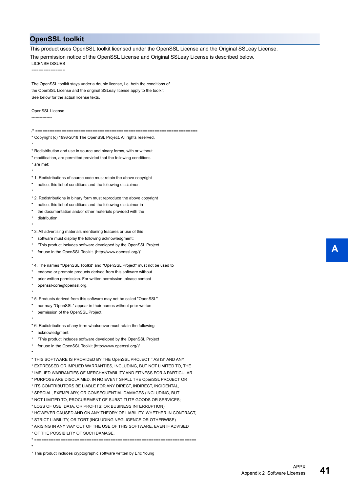### <span id="page-42-0"></span>**OpenSSL toolkit**

This product uses OpenSSL toolkit licensed under the OpenSSL License and the Original SSLeay License.

The permission notice of the OpenSSL License and Original SSLeay License is described below.

LICENSE ISSUES ==============

The OpenSSL toolkit stays under a double license, i.e. both the conditions of the OpenSSL License and the original SSLeay license apply to the toolkit. See below for the actual license texts.

#### OpenSSL License

--------------- /\* ==================================================================== \* Copyright (c) 1998-2018 The OpenSSL Project. All rights reserved. \* \* Redistribution and use in source and binary forms, with or without \* modification, are permitted provided that the following conditions \* are met: \* \* 1. Redistributions of source code must retain the above copyright notice, this list of conditions and the following disclaimer. \* \* 2. Redistributions in binary form must reproduce the above copyright \* notice, this list of conditions and the following disclaimer in the documentation and/or other materials provided with the distribution. \* \* 3. All advertising materials mentioning features or use of this software must display the following acknowledgment: \* "This product includes software developed by the OpenSSL Project for use in the OpenSSL Toolkit. (http://www.openssl.org/)" \* \* 4. The names "OpenSSL Toolkit" and "OpenSSL Project" must not be used to endorse or promote products derived from this software without prior written permission. For written permission, please contact openssl-core@openssl.org. \* \* 5. Products derived from this software may not be called "OpenSSL" nor may "OpenSSL" appear in their names without prior written permission of the OpenSSL Project. \* \* 6. Redistributions of any form whatsoever must retain the following acknowledgment: "This product includes software developed by the OpenSSL Project for use in the OpenSSL Toolkit (http://www.openssl.org/)" \* \* THIS SOFTWARE IS PROVIDED BY THE OpenSSL PROJECT ``AS IS'' AND ANY \* EXPRESSED OR IMPLIED WARRANTIES, INCLUDING, BUT NOT LIMITED TO, THE \* IMPLIED WARRANTIES OF MERCHANTABILITY AND FITNESS FOR A PARTICULAR \* PURPOSE ARE DISCLAIMED. IN NO EVENT SHALL THE OpenSSL PROJECT OR \* ITS CONTRIBUTORS BE LIABLE FOR ANY DIRECT, INDIRECT, INCIDENTAL, \* SPECIAL, EXEMPLARY, OR CONSEQUENTIAL DAMAGES (INCLUDING, BUT \* NOT LIMITED TO, PROCUREMENT OF SUBSTITUTE GOODS OR SERVICES; \* LOSS OF USE, DATA, OR PROFITS; OR BUSINESS INTERRUPTION) \* HOWEVER CAUSED AND ON ANY THEORY OF LIABILITY, WHETHER IN CONTRACT, \* STRICT LIABILITY, OR TORT (INCLUDING NEGLIGENCE OR OTHERWISE) \* ARISING IN ANY WAY OUT OF THE USE OF THIS SOFTWARE, EVEN IF ADVISED \* OF THE POSSIBILITY OF SUCH DAMAGE.

\* ====================================================================

\* This product includes cryptographic software written by Eric Young

\*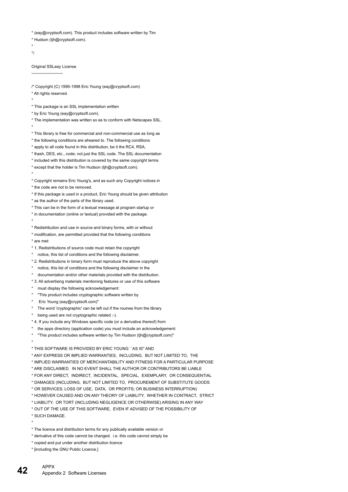\* (eay@cryptsoft.com). This product includes software written by Tim

- \* Hudson (tjh@cryptsoft.com).
- \* \*/

Original SSLeay License

-----------------------

/\* Copyright (C) 1995-1998 Eric Young (eay@cryptsoft.com) \* All rights reserved.

\*

\*

- \* This package is an SSL implementation written
- \* by Eric Young (eay@cryptsoft.com).
- \* The implementation was written so as to conform with Netscapes SSL. \*
- \* This library is free for commercial and non-commercial use as long as
- \* the following conditions are aheared to. The following conditions
- \* apply to all code found in this distribution, be it the RC4, RSA,
- \* lhash, DES, etc., code; not just the SSL code. The SSL documentation
- \* included with this distribution is covered by the same copyright terms
- \* except that the holder is Tim Hudson (tjh@cryptsoft.com).
- \* Copyright remains Eric Young's, and as such any Copyright notices in
- \* the code are not to be removed.
- \* If this package is used in a product, Eric Young should be given attribution
- \* as the author of the parts of the library used.
- \* This can be in the form of a textual message at program startup or
- \* in documentation (online or textual) provided with the package.
- \*
- \* Redistribution and use in source and binary forms, with or without \* modification, are permitted provided that the following conditions
- \* are met:
- \* 1. Redistributions of source code must retain the copyright
- \* notice, this list of conditions and the following disclaimer.
- \* 2. Redistributions in binary form must reproduce the above copyright
- \* notice, this list of conditions and the following disclaimer in the
- \* documentation and/or other materials provided with the distribution.
- \* 3. All advertising materials mentioning features or use of this software
- \* must display the following acknowledgement:
- \* "This product includes cryptographic software written by
- Eric Young (eay@cryptsoft.com)"
- The word 'cryptographic' can be left out if the rouines from the library
- being used are not cryptographic related :-).
- \* 4. If you include any Windows specific code (or a derivative thereof) from
- the apps directory (application code) you must include an acknowledgement:
- \* "This product includes software written by Tim Hudson (tjh@cryptsoft.com)"
- \*

\* THIS SOFTWARE IS PROVIDED BY ERIC YOUNG ``AS IS'' AND

\* ANY EXPRESS OR IMPLIED WARRANTIES, INCLUDING, BUT NOT LIMITED TO, THE

\* IMPLIED WARRANTIES OF MERCHANTABILITY AND FITNESS FOR A PARTICULAR PURPOSE

- \* ARE DISCLAIMED. IN NO EVENT SHALL THE AUTHOR OR CONTRIBUTORS BE LIABLE
- \* FOR ANY DIRECT, INDIRECT, INCIDENTAL, SPECIAL, EXEMPLARY, OR CONSEQUENTIAL
- \* DAMAGES (INCLUDING, BUT NOT LIMITED TO, PROCUREMENT OF SUBSTITUTE GOODS
- \* OR SERVICES; LOSS OF USE, DATA, OR PROFITS; OR BUSINESS INTERRUPTION)
- \* HOWEVER CAUSED AND ON ANY THEORY OF LIABILITY, WHETHER IN CONTRACT, STRICT
- \* LIABILITY, OR TORT (INCLUDING NEGLIGENCE OR OTHERWISE) ARISING IN ANY WAY
- \* OUT OF THE USE OF THIS SOFTWARE, EVEN IF ADVISED OF THE POSSIBILITY OF
- \* SUCH DAMAGE.

\*

- \* The licence and distribution terms for any publically available version or
- \* derivative of this code cannot be changed. i.e. this code cannot simply be
- \* copied and put under another distribution licence
- \* [including the GNU Public Licence.]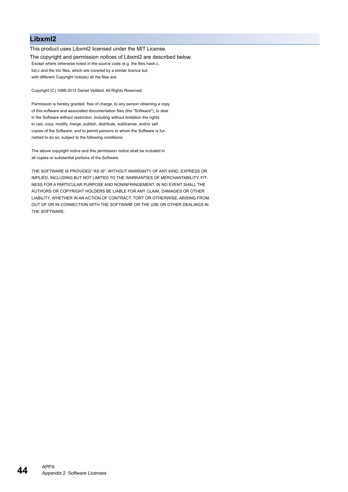### <span id="page-45-0"></span>**Libxml2**

This product uses Libxml2 licensed under the MIT License. The copyright and permission notices of Libxml2 are described below. Except where otherwise noted in the source code (e.g. the files hash.c, list.c and the trio files, which are covered by a similar licence but with different Copyright notices) all the files are:

Copyright (C) 1998-2012 Daniel Veillard. All Rights Reserved.

Permission is hereby granted, free of charge, to any person obtaining a copy of this software and associated documentation files (the "Software"), to deal in the Software without restriction, including without limitation the rights to use, copy, modify, merge, publish, distribute, sublicense, and/or sell copies of the Software, and to permit persons to whom the Software is furnished to do so, subject to the following conditions:

The above copyright notice and this permission notice shall be included in all copies or substantial portions of the Software.

THE SOFTWARE IS PROVIDED "AS IS", WITHOUT WARRANTY OF ANY KIND, EXPRESS OR IMPLIED, INCLUDING BUT NOT LIMITED TO THE WARRANTIES OF MERCHANTABILITY, FIT-NESS FOR A PARTICULAR PURPOSE AND NONINFRINGEMENT. IN NO EVENT SHALL THE AUTHORS OR COPYRIGHT HOLDERS BE LIABLE FOR ANY CLAIM, DAMAGES OR OTHER LIABILITY, WHETHER IN AN ACTION OF CONTRACT, TORT OR OTHERWISE, ARISING FROM, OUT OF OR IN CONNECTION WITH THE SOFTWARE OR THE USE OR OTHER DEALINGS IN THE SOFTWARE.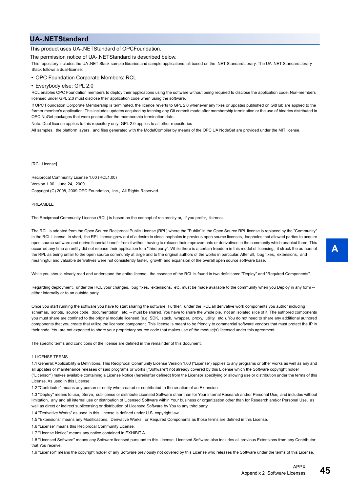### <span id="page-46-0"></span>**UA-.NETStandard**

#### This product uses UA-.NETStandard of OPCFoundation.

The permission notice of UA-.NETStandard is described below.

This repository includes the UA .NET Stack sample libraries and sample applications, all based on the .NET StandardLibrary. The UA .NET StandardLibrary Stack follows a dual-license:

• OPC Foundation Corporate Members: RCL

• Everybody else: GPL 2.0

RCL enables OPC Foundation members to deploy their applications using the software without being required to disclose the application code. Non-members licensed under GPL 2.0 must disclose their application code when using the software.

If OPC Foundation Corporate Membership is terminated, the licence reverts to GPL 2.0 whenever any fixes or updates published on GitHub are applied to the former member's application. This includes updates acquired by fetching any Git commit made after membership termination or the use of binaries distributed in OPC NuGet packages that were posted after the membership termination date.

Note: Dual license applies to this repository only; GPL 2.0 applies to all other repositories

All samples, the platform layers, and files generated with the ModelCompiler by means of the OPC UA NodeSet are provided under the MIT license.

[RCL License]

Reciprocal Community License 1.00 (RCL1.00) Version 1.00, June 24, 2009 Copyright (C) 2008, 2009 OPC Foundation, Inc., All Rights Reserved.

#### PREAMBLE

The Reciprocal Community License (RCL) is based on the concept of reciprocity or, if you prefer, fairness.

The RCL is adapted from the Open Source Reciprocal Public License (RPL) where the "Public" in the Open Source RPL license is replaced by the "Community" in the RCL License. In short, the RPL license grew out of a desire to close loopholes in previous open source licenses, loopholes that allowed parties to acquire open source software and derive financial benefit from it without having to release their improvements or derivatives to the community which enabled them. This occurred any time an entity did not release their application to a "third party". While there is a certain freedom in this model of licensing, it struck the authors of the RPL as being unfair to the open source community at large and to the original authors of the works in particular. After all, bug fixes, extensions, and meaningful and valuable derivatives were not consistently faster, growth and expansion of the overall open source software base.

While you should clearly read and understand the entire license, the essence of the RCL is found in two definitions: "Deploy" and "Required Components".

Regarding deployment, under the RCL your changes, bug fixes, extensions, etc. must be made available to the community when you Deploy in any form -either internally or to an outside party.

Once you start running the software you have to start sharing the software. Further, under the RCL all derivative work components you author including schemas, scripts, source code, documentation, etc. -- must be shared. You have to share the whole pie, not an isolated slice of it. The authored components you must share are confined to the original module licensed (e.g. SDK, stack, wrapper, proxy, utility, etc.). You do not need to share any additional authored components that you create that utilize the licensed component. This license is meant to be friendly to commercial software vendors that must protect the IP in their code. You are not expected to share your proprietary source code that makes use of the module(s) licensed under this agreement.

The specific terms and conditions of the license are defined in the remainder of this document.

#### 1 LICENSE TERMS

1.1 General; Applicability & Definitions. This Reciprocal Community License Version 1.00 ("License") applies to any programs or other works as well as any and all updates or maintenance releases of said programs or works ("Software") not already covered by this License which the Software copyright holder ("Licensor") makes available containing a License Notice (hereinafter defined) from the Licensor specifying or allowing use or distribution under the terms of this License. As used in this License:

1.2 "Contributor" means any person or entity who created or contributed to the creation of an Extension.

1.3 "Deploy" means to use, Serve, sublicense or distribute Licensed Software other than for Your internal Research and/or Personal Use, and includes without limitation, any and all internal use or distribution of Licensed Software within Your business or organization other than for Research and/or Personal Use, as well as direct or indirect sublicensing or distribution of Licensed Software by You to any third party.

1.4 "Derivative Works" as used in this License is defined under U.S. copyright law.

1.5 "Extensions" means any Modifications, Derivative Works, or Required Components as those terms are defined in this License.

1.6 "License" means this Reciprocal Community License.

1.7 "License Notice" means any notice contained in EXHIBIT A.

1.8 "Licensed Software" means any Software licensed pursuant to this License. Licensed Software also includes all previous Extensions from any Contributor that You receive.

1.9 "Licensor" means the copyright holder of any Software previously not covered by this License who releases the Software under the terms of this License.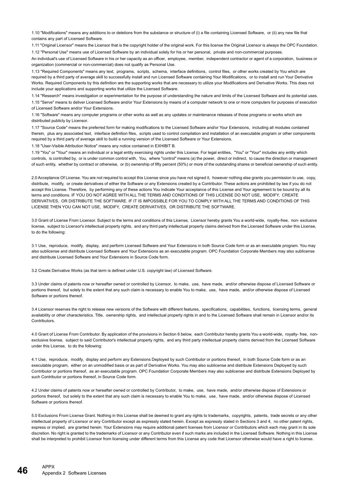1.10 "Modifications" means any additions to or deletions from the substance or structure of (i) a file containing Licensed Software, or (ii) any new file that contains any part of Licensed Software.

1.11 "Original Licensor" means the Licensor that is the copyright holder of the original work. For this license the Original Licensor is always the OPC Foundation. 1.12 "Personal Use" means use of Licensed Software by an individual solely for his or her personal, private and non-commercial purposes.

An individual's use of Licensed Software in his or her capacity as an officer, employee, member, independent contractor or agent of a corporation, business or organization (commercial or non-commercial) does not qualify as Personal Use.

1.13 "Required Components" means any text, programs, scripts, schema, interface definitions, control files, or other works created by You which are required by a third party of average skill to successfully install and run Licensed Software containing Your Modifications, or to install and run Your Derivative Works. Required Components by this definition are the supporting works that are necessary to utilize your Modifications and Derivative Works. This does not include your applications and supporting works that utilize the Licensed Software.

1.14 "Research" means investigation or experimentation for the purpose of understanding the nature and limits of the Licensed Software and its potential uses. 1.15 "Serve" means to deliver Licensed Software and/or Your Extensions by means of a computer network to one or more computers for purposes of execution of Licensed Software and/or Your Extensions.

1.16 "Software" means any computer programs or other works as well as any updates or maintenance releases of those programs or works which are distributed publicly by Licensor.

1.17 "Source Code" means the preferred form for making modifications to the Licensed Software and/or Your Extensions, including all modules contained therein, plus any associated text, interface definition files, scripts used to control compilation and installation of an executable program or other components required by a third party of average skill to build a running version of the Licensed Software or Your Extensions.

1.18 "User-Visible Attribution Notice" means any notice contained in EXHIBIT B.

1.19 "You" or "Your" means an individual or a legal entity exercising rights under this License. For legal entities, "You" or "Your" includes any entity which controls, is controlled by, or is under common control with, You, where "control" means (a) the power, direct or indirect, to cause the direction or management of such entity, whether by contract or otherwise, or (b) ownership of fifty percent (50%) or more of the outstanding shares or beneficial ownership of such entity.

2.0 Acceptance Of License. You are not required to accept this License since you have not signed it, however nothing else grants you permission to use, copy, distribute, modify, or create derivatives of either the Software or any Extensions created by a Contributor. These actions are prohibited by law if you do not accept this License. Therefore, by performing any of these actions You indicate Your acceptance of this License and Your agreement to be bound by all its terms and conditions. IF YOU DO NOT AGREE WITH ALL THE TERMS AND CONDITIONS OF THIS LICENSE DO NOT USE, MODIFY, CREATE DERIVATIVES, OR DISTRIBUTE THE SOFTWARE. IF IT IS IMPOSSIBLE FOR YOU TO COMPLY WITH ALL THE TERMS AND CONDITIONS OF THIS LICENSE THEN YOU CAN NOT USE, MODIFY, CREATE DERIVATIVES, OR DISTRIBUTE THE SOFTWARE.

3.0 Grant of License From Licensor. Subject to the terms and conditions of this License, Licensor hereby grants You a world-wide, royalty-free, non- exclusive license, subject to Licensor's intellectual property rights, and any third party intellectual property claims derived from the Licensed Software under this License, to do the following:

3.1 Use, reproduce, modify, display, and perform Licensed Software and Your Extensions in both Source Code form or as an executable program. You may also sublicense and distribute Licensed Software and Your Extensions as an executable program. OPC Foundation Corporate Members may also sublicense and distribute Licensed Software and Your Extensions in Source Code form.

3.2 Create Derivative Works (as that term is defined under U.S. copyright law) of Licensed Software.

3.3 Under claims of patents now or hereafter owned or controlled by Licensor, to make, use, have made, and/or otherwise dispose of Licensed Software or portions thereof, but solely to the extent that any such claim is necessary to enable You to make, use, have made, and/or otherwise dispose of Licensed Software or portions thereof.

3.4 Licensor reserves the right to release new versions of the Software with different features, specifications, capabilities, functions, licensing terms, general availability or other characteristics. Title, ownership rights, and intellectual property rights in and to the Licensed Software shall remain in Licensor and/or its Contributors.

4.0 Grant of License From Contributor. By application of the provisions in Section 6 below, each Contributor hereby grants You a world-wide, royalty- free, nonexclusive license, subject to said Contributor's intellectual property rights, and any third party intellectual property claims derived from the Licensed Software under this License, to do the following:

4.1 Use, reproduce, modify, display and perform any Extensions Deployed by such Contributor or portions thereof, in both Source Code form or as an executable program, either on an unmodified basis or as part of Derivative Works. You may also sublicense and distribute Extensions Deployed by such Contributor or portions thereof, as an executable program. OPC Foundation Corporate Members may also sublicense and distribute Extensions Deployed by such Contributor or portions thereof, in Source Code form.

4.2 Under claims of patents now or hereafter owned or controlled by Contributor, to make, use, have made, and/or otherwise dispose of Extensions or portions thereof, but solely to the extent that any such claim is necessary to enable You to make, use, have made, and/or otherwise dispose of Licensed Software or portions thereof.

5.0 Exclusions From License Grant. Nothing in this License shall be deemed to grant any rights to trademarks, copyrights, patents, trade secrets or any other intellectual property of Licensor or any Contributor except as expressly stated herein. Except as expressly stated in Sections 3 and 4, no other patent rights, express or implied, are granted herein. Your Extensions may require additional patent licenses from Licensor or Contributors which each may grant in its sole discretion. No right is granted to the trademarks of Licensor or any Contributor even if such marks are included in the Licensed Software. Nothing in this License shall be interpreted to prohibit Licensor from licensing under different terms from this License any code that Licensor otherwise would have a right to license.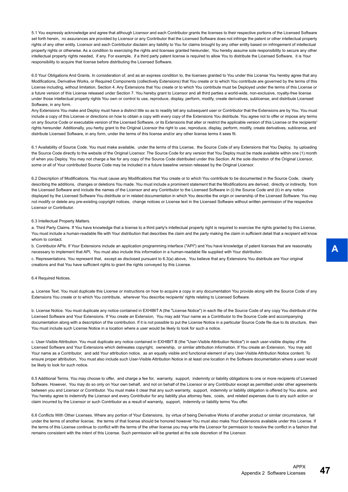5.1 You expressly acknowledge and agree that although Licensor and each Contributor grants the licenses to their respective portions of the Licensed Software set forth herein, no assurances are provided by Licensor or any Contributor that the Licensed Software does not infringe the patent or other intellectual property rights of any other entity. Licensor and each Contributor disclaim any liability to You for claims brought by any other entity based on infringement of intellectual property rights or otherwise. As a condition to exercising the rights and licenses granted hereunder, You hereby assume sole responsibility to secure any other intellectual property rights needed, if any. For example, if a third party patent license is required to allow You to distribute the Licensed Software, it is Your responsibility to acquire that license before distributing the Licensed Software.

6.0 Your Obligations And Grants. In consideration of, and as an express condition to, the licenses granted to You under this License You hereby agree that any Modifications, Derivative Works, or Required Components (collectively Extensions) that You create or to which You contribute are governed by the terms of this License including, without limitation, Section 4. Any Extensions that You create or to which You contribute must be Deployed under the terms of this License or a future version of this License released under Section 7. You hereby grant to Licensor and all third parties a world-wide, non-exclusive, royalty-free license under those intellectual property rights You own or control to use, reproduce, display, perform, modify, create derivatives, sublicense, and distribute Licensed Software, in any form.

Any Extensions You make and Deploy must have a distinct title so as to readily tell any subsequent user or Contributor that the Extensions are by You. You must include a copy of this License or directions on how to obtain a copy with every copy of the Extensions You distribute. You agree not to offer or impose any terms on any Source Code or executable version of the Licensed Software, or its Extensions that alter or restrict the applicable version of this License or the recipients' rights hereunder. Additionally, you herby grant to the Original Licensor the right to use, reproduce, display, perform, modify, create derivatives, sublicense, and distribute Licensed Software, in any form, under the terms of this license and/or any other license terms it sees fit.

6.1 Availability of Source Code. You must make available, under the terms of this License, the Source Code of any Extensions that You Deploy, by uploading the Source Code directly to the website of the Original Licensor. The Source Code for any version that You Deploy must be made available within one (1) month of when you Deploy. You may not charge a fee for any copy of the Source Code distributed under this Section. At the sole discretion of the Original Licensor, some or all of Your contributed Source Code may be included in a future baseline version released by the Original Licensor.

6.2 Description of Modifications. You must cause any Modifications that You create or to which You contribute to be documented in the Source Code, clearly describing the additions, changes or deletions You made. You must include a prominent statement that the Modifications are derived, directly or indirectly, from the Licensed Software and include the names of the Licensor and any Contributor to the Licensed Software in (i) the Source Code and (ii) in any notice displayed by the Licensed Software You distribute or in related documentation in which You describe the origin or ownership of the Licensed Software. You may not modify or delete any pre-existing copyright notices, change notices or License text in the Licensed Software without written permission of the respective Licensor or Contributor.

#### 6.3 Intellectual Property Matters.

a. Third Party Claims. If You have knowledge that a license to a third party's intellectual property right is required to exercise the rights granted by this License, You must include a human-readable file with Your distribution that describes the claim and the party making the claim in sufficient detail that a recipient will know whom to contact.

b. Contributor APIs. If Your Extensions include an application programming interface ("API") and You have knowledge of patent licenses that are reasonably necessary to implement that API, You must also include this information in a human-readable file supplied with Your distribution.

c. Representations. You represent that, except as disclosed pursuant to 6.3(a) above, You believe that any Extensions You distribute are Your original creations and that You have sufficient rights to grant the rights conveyed by this License.

#### 6.4 Required Notices.

a. License Text. You must duplicate this License or instructions on how to acquire a copy in any documentation You provide along with the Source Code of any Extensions You create or to which You contribute, wherever You describe recipients' rights relating to Licensed Software.

b. License Notice. You must duplicate any notice contained in EXHIBIT A (the "License Notice") in each file of the Source Code of any copy You distribute of the Licensed Software and Your Extensions. If You create an Extension, You may add Your name as a Contributor to the Source Code and accompanying documentation along with a description of the contribution. If it is not possible to put the License Notice in a particular Source Code file due to its structure, then You must include such License Notice in a location where a user would be likely to look for such a notice.

c. User-Visible Attribution. You must duplicate any notice contained in EXHIBIT B (the "User-Visible Attribution Notice") in each user-visible display of the Licensed Software and Your Extensions which delineates copyright, ownership, or similar attribution information. If You create an Extension, You may add Your name as a Contributor, and add Your attribution notice, as an equally visible and functional element of any User-Visible Attribution Notice content. To ensure proper attribution, You must also include such User-Visible Attribution Notice in at least one location in the Software documentation where a user would be likely to look for such notice.

6.5 Additional Terms. You may choose to offer, and charge a fee for, warranty, support, indemnity or liability obligations to one or more recipients of Licensed Software. However, You may do so only on Your own behalf, and not on behalf of the Licensor or any Contributor except as permitted under other agreements between you and Licensor or Contributor. You must make it clear that any such warranty, support, indemnity or liability obligation is offered by You alone, and You hereby agree to indemnify the Licensor and every Contributor for any liability plus attorney fees, costs, and related expenses due to any such action or claim incurred by the Licensor or such Contributor as a result of warranty, support, indemnity or liability terms You offer.

6.6 Conflicts With Other Licenses. Where any portion of Your Extensions, by virtue of being Derivative Works of another product or similar circumstance, fall under the terms of another license, the terms of that license should be honored however You must also make Your Extensions available under this License. If the terms of this License continue to conflict with the terms of the other license you may write the Licensor for permission to resolve the conflict in a fashion that remains consistent with the intent of this License. Such permission will be granted at the sole discretion of the Licensor.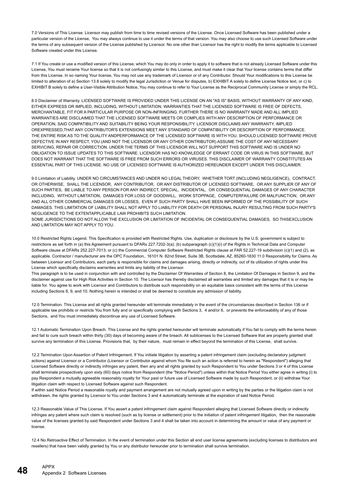7.0 Versions of This License. Licensor may publish from time to time revised versions of the License. Once Licensed Software has been published under a particular version of the License, You may always continue to use it under the terms of that version. You may also choose to use such Licensed Software under the terms of any subsequent version of the License published by Licensor. No one other than Licensor has the right to modify the terms applicable to Licensed Software created under this License.

7.1 If You create or use a modified version of this License, which You may do only in order to apply it to software that is not already Licensed Software under this License, You must rename Your license so that it is not confusingly similar to this License, and must make it clear that Your license contains terms that differ from this License. In so naming Your license, You may not use any trademark of Licensor or of any Contributor. Should Your modifications to this License be limited to alteration of a) Section 13.8 solely to modify the legal Jurisdiction or Venue for disputes, b) EXHIBIT A solely to define License Notice text, or c) to EXHIBIT B solely to define a User-Visible Attribution Notice, You may continue to refer to Your License as the Reciprocal Community License or simply the RCL.

8.0 Disclaimer of Warranty. LICENSED SOFTWARE IS PROVIDED UNDER THIS LICENSE ON AN "AS IS" BASIS, WITHOUT WARRANTY OF ANY KIND, EITHER EXPRESS OR IMPLIED, INCLUDING, WITHOUT LIMITATION, WARRANTIES THAT THE LICENSED SOFTWARE IS FREE OF DEFECTS, MERCHANTABLE, FIT FOR A PARTICULAR PURPOSE OR NON-INFRINGING. FURTHER THERE IS NO WARRANTY MADE AND ALL IMPLIED WARRANTIES ARE DISCLAIMED THAT THE LICENSED SOFTWARE MEETS OR COMPLIES WITH ANY DESCRIPTION OF PERFORMANCE OR OPERATION, SAID COMPATIBILITY AND SUITABILITY BEING YOUR RESPONSIBILITY. LICENSOR DISCLAIMS ANY WARRANTY, IMPLIED OREXPRESSED,THAT ANY CONTRIBUTOR'S EXTENSIONS MEET ANY STANDARD OF COMPATIBILITY OR DESCRIPTION OF PERFORMANCE. THE ENTIRE RISK AS TO THE QUALITY ANDPERFORMANCE OF THE LICENSED SOFTWARE IS WITH YOU. SHOULD LICENSED SOFTWARE PROVE DEFECTIVE IN ANY RESPECT, YOU (AND NOT THE LICENSOR OR ANY OTHER CONTRIBUTOR) ASSUME THE COST OF ANY NECESSARY SERVICING, REPAIR OR CORRECTION. UNDER THE TERMS OF THIS LICENSOR WILL NOT SUPPORT THIS SOFTWARE AND IS UNDER NO OBLIGATION TO ISSUE UPDATES TO THIS SOFTWARE. LICENSOR HAS NO KNOWLEDGE OF ERRANT CODE OR VIRUS IN THIS SOFTWARE, BUT DOES NOT WARRANT THAT THE SOFTWARE IS FREE FROM SUCH ERRORS OR VIRUSES. THIS DISCLAIMER OF WARRANTY CONSTITUTES AN ESSENTIAL PART OF THIS LICENSE. NO USE OF LICENSED SOFTWARE IS AUTHORIZED HEREUNDER EXCEPT UNDER THIS DISCLAIMER.

9.0 Limitation of Liability. UNDER NO CIRCUMSTANCES AND UNDER NO LEGAL THEORY, WHETHER TORT (INCLUDING NEGLIGENCE), CONTRACT, OR OTHERWISE, SHALL THE LICENSOR, ANY CONTRIBUTOR, OR ANY DISTRIBUTOR OF LICENSED SOFTWARE, OR ANY SUPPLIER OF ANY OF SUCH PARTIES, BE LIABLE TO ANY PERSON FOR ANY INDIRECT, SPECIAL, INCIDENTAL, OR CONSEQUENTIAL DAMAGES OF ANY CHARACTER INCLUDING, WITHOUT LIMITATION, DAMAGES FOR LOSS OF GOODWILL, WORK STOPPAGE, COMPUTERFAILURE OR MALFUNCTION, OR ANY AND ALL OTHER COMMERCIAL DAMAGES OR LOSSES, EVEN IF SUCH PARTY SHALL HAVE BEEN INFORMED OF THE POSSIBILITY OF SUCH DAMAGES. THIS LIMITATION OF LIABILITY SHALL NOT APPLY TO LIABILITY FOR DEATH OR PERSONAL INJURY RESULTING FROM SUCH PARTY'S NEGLIGENCE TO THE EXTENTAPPLICABLE LAW PROHIBITS SUCH LIMITATION.

SOME JURISDICTIONS DO NOT ALLOW THE EXCLUSION OR LIMITATION OF INCIDENTAL OR CONSEQUENTIAL DAMAGES, SO THISEXCLUSION AND LIMITATION MAY NOT APPLY TO YOU.

10.0 Restricted Rights Legend. This Specification is provided with Restricted Rights. Use, duplication or disclosure by the U.S. government is subject to restrictions as set forth in (a) this Agreement pursuant to DFARs 227.7202-3(a); (b) subparagraph (c)(1)(i) of the Rights in Technical Data and Computer Software clause at DFARs 252.227-7013; or (c) the Commercial Computer Software Restricted Rights clause at FAR 52.227-19 subdivision (c)(1) and (2), as applicable. Contractor / manufacturer are the OPC Foundation,. 16101 N. 82nd Street, Suite 3B, Scottsdale, AZ, 85260-1830 11.0 Responsibility for Claims. As between Licensor and Contributors, each party is responsible for claims and damages arising, directly or indirectly, out of its utilization of rights under this License which specifically disclaims warranties and limits any liability of the Licensor.

This paragraph is to be used in conjunction with and controlled by the Disclaimer Of Warranties of Section 8, the Limitation Of Damages in Section 9, and the disclaimer against use for High Risk Activities in Section 10. The Licensor has thereby disclaimed all warranties and limited any damages that it is or may be liable for. You agree to work with Licensor and Contributors to distribute such responsibility on an equitable basis consistent with the terms of this License including Sections 8, 9, and 10. Nothing herein is intended or shall be deemed to constitute any admission of liability.

12.0 Termination. This License and all rights granted hereunder will terminate immediately in the event of the circumstances described in Section 136 or if applicable law prohibits or restricts You from fully and or specifically complying with Sections 3, 4 and/or 6, or prevents the enforceability of any of those Sections, and You must immediately discontinue any use of Licensed Software.

12.1 Automatic Termination Upon Breach. This License and the rights granted hereunder will terminate automatically if You fail to comply with the terms herein and fail to cure such breach within thirty (30) days of becoming aware of the breach. All sublicenses to the Licensed Software that are properly granted shall survive any termination of this License. Provisions that, by their nature, must remain in effect beyond the termination of this License, shall survive.

12.2 Termination Upon Assertion of Patent Infringement. If You initiate litigation by asserting a patent infringement claim (excluding declaratory judgment actions) against Licensor or a Contributor (Licensor or Contributor against whom You file such an action is referred to herein as "Respondent") alleging that Licensed Software directly or indirectly infringes any patent, then any and all rights granted by such Respondent to You under Sections 3 or 4 of this License shall terminate prospectively upon sixty (60) days notice from Respondent (the "Notice Period") unless within that Notice Period You either agree in writing (i) to pay Respondent a mutually agreeable reasonably royalty for Your past or future use of Licensed Software made by such Respondent, or (ii) withdraw Your litigation claim with respect to Licensed Software against such Respondent.

If within said Notice Period a reasonable royalty and payment arrangement are not mutually agreed upon in writing by the parties or the litigation claim is not withdrawn, the rights granted by Licensor to You under Sections 3 and 4 automatically terminate at the expiration of said Notice Period.

12.3 Reasonable Value of This License. If You assert a patent infringement claim against Respondent alleging that Licensed Software directly or indirectly infringes any patent where such claim is resolved (such as by license or settlement) prior to the initiation of patent infringement litigation, then the reasonable value of the licenses granted by said Respondent under Sections 3 and 4 shall be taken into account in determining the amount or value of any payment or license.

12.4 No Retroactive Effect of Termination. In the event of termination under this Section all end user license agreements (excluding licenses to distributors and resellers) that have been validly granted by You or any distributor hereunder prior to termination shall survive termination.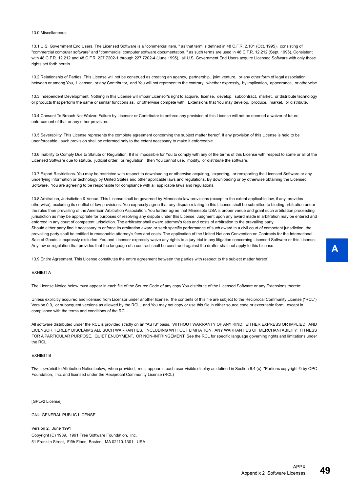13.0 Miscellaneous.

13.1 U.S. Government End Users. The Licensed Software is a "commercial item, " as that term is defined in 48 C.F.R. 2.101 (Oct. 1995), consisting of "commercial computer software" and "commercial computer software documentation, " as such terms are used in 48 C.F.R. 12.212 (Sept. 1995). Consistent with 48 C.F.R. 12.212 and 48 C.F.R. 227.7202-1 through 227.7202-4 (June 1995), all U.S. Government End Users acquire Licensed Software with only those rights set forth herein.

13.2 Relationship of Parties. This License will not be construed as creating an agency, partnership, joint venture, or any other form of legal association between or among You, Licensor, or any Contributor, and You will not represent to the contrary, whether expressly, by implication, appearance, or otherwise.

13.3 Independent Development. Nothing in this License will impair Licensor's right to acquire, license, develop, subcontract, market, or distribute technology or products that perform the same or similar functions as, or otherwise compete with, Extensions that You may develop, produce, market, or distribute.

13.4 Consent To Breach Not Waiver. Failure by Licensor or Contributor to enforce any provision of this License will not be deemed a waiver of future enforcement of that or any other provision.

13.5 Severability. This License represents the complete agreement concerning the subject matter hereof. If any provision of this License is held to be unenforceable, such provision shall be reformed only to the extent necessary to make it enforceable.

13.6 Inability to Comply Due to Statute or Regulation. If it is impossible for You to comply with any of the terms of this License with respect to some or all of the Licensed Software due to statute, judicial order, or regulation, then You cannot use, modify, or distribute the software.

13.7 Export Restrictions. You may be restricted with respect to downloading or otherwise acquiring, exporting, or reexporting the Licensed Software or any underlying information or technology by United States and other applicable laws and regulations. By downloading or by otherwise obtaining the Licensed Software, You are agreeing to be responsible for compliance with all applicable laws and regulations.

13.8 Arbitration, Jurisdiction & Venue. This License shall be governed by Minnesota law provisions (except to the extent applicable law, if any, provides otherwise), excluding its conflict-of-law provisions. You expressly agree that any dispute relating to this License shall be submitted to binding arbitration under the rules then prevailing of the American Arbitration Association. You further agree that Minnesota USA is proper venue and grant such arbitration proceeding jurisdiction as may be appropriate for purposes of resolving any dispute under this License. Judgment upon any award made in arbitration may be entered and enforced in any court of competent jurisdiction. The arbitrator shall award attorney's fees and costs of arbitration to the prevailing party. Should either party find it necessary to enforce its arbitration award or seek specific performance of such award in a civil court of competent jurisdiction, the prevailing party shall be entitled to reasonable attorney's fees and costs. The application of the United Nations Convention on Contracts for the International Sale of Goods is expressly excluded. You and Licensor expressly waive any rights to a jury trial in any litigation concerning Licensed Software or this License. Any law or regulation that provides that the language of a contract shall be construed against the drafter shall not apply to this License.

13.9 Entire Agreement. This License constitutes the entire agreement between the parties with respect to the subject matter hereof.

#### EXHIBIT A

The License Notice below must appear in each file of the Source Code of any copy You distribute of the Licensed Software or any Extensions thereto:

Unless explicitly acquired and licensed from Licensor under another license, the contents of this file are subject to the Reciprocal Community License ("RCL") Version 0.9, or subsequent versions as allowed by the RCL, and You may not copy or use this file in either source code or executable form, except in compliance with the terms and conditions of the RCL.

All software distributed under the RCL is provided strictly on an "AS IS" basis, WITHOUT WARRANTY OF ANY KIND, EITHER EXPRESS OR IMPLIED, AND LICENSOR HEREBY DISCLAIMS ALL SUCH WARRANTIES, INCLUDING WITHOUT LIMITATION, ANY WARRANTIES OF MERCHANTABILITY, FITNESS FOR A PARTICULAR PURPOSE, QUIET ENJOYMENT, OR NON-INFRINGEMENT. See the RCL for specific language governing rights and limitations under the RCL.

#### EXHIBIT B

The User-Visible Attribution Notice below, when provided, must appear in each user-visible display as defined in Section 6.4 (c): "Portions copyright © by OPC Foundation, Inc. and licensed under the Reciprocal Community License (RCL)

[GPLv2 License]

GNU GENERAL PUBLIC LICENSE

Version 2, June 1991 Copyright (C) 1989, 1991 Free Software Foundation, Inc. 51 Franklin Street, Fifth Floor, Boston, MA 02110-1301, USA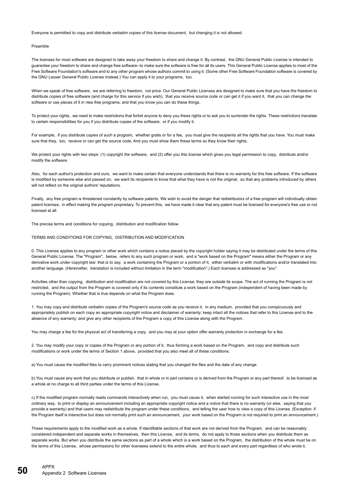Everyone is permitted to copy and distribute verbatim copies of this license document, but changing it is not allowed.

#### Preamble

The licenses for most software are designed to take away your freedom to share and change it. By contrast, the GNU General Public License is intended to guarantee your freedom to share and change free software--to make sure the software is free for all its users. This General Public License applies to most of the Free Software Foundation's software and to any other program whose authors commit to using it. (Some other Free Software Foundation software is covered by the GNU Lesser General Public License instead.) You can apply it to your programs, too.

When we speak of free software, we are referring to freedom, not price. Our General Public Licenses are designed to make sure that you have the freedom to distribute copies of free software (and charge for this service if you wish), that you receive source code or can get it if you want it, that you can change the software or use pieces of it in new free programs; and that you know you can do these things.

To protect your rights, we need to make restrictions that forbid anyone to deny you these rights or to ask you to surrender the rights. These restrictions translate to certain responsibilities for you if you distribute copies of the software, or if you modify it.

For example, if you distribute copies of such a program, whether gratis or for a fee, you must give the recipients all the rights that you have. You must make sure that they, too, receive or can get the source code. And you must show them these terms so they know their rights.

We protect your rights with two steps: (1) copyright the software, and (2) offer you this license which gives you legal permission to copy, distribute and/or modify the software.

Also, for each author's protection and ours, we want to make certain that everyone understands that there is no warranty for this free software. If the software is modified by someone else and passed on, we want its recipients to know that what they have is not the original, so that any problems introduced by others will not reflect on the original authors' reputations.

Finally, any free program is threatened constantly by software patents. We wish to avoid the danger that redistributors of a free program will individually obtain patent licenses, in effect making the program proprietary. To prevent this, we have made it clear that any patent must be licensed for everyone's free use or not licensed at all.

The precise terms and conditions for copying, distribution and modification follow.

#### TERMS AND CONDITIONS FOR COPYING, DISTRIBUTION AND MODIFICATION

0. This License applies to any program or other work which contains a notice placed by the copyright holder saying it may be distributed under the terms of this General Public License. The "Program", below, refers to any such program or work, and a "work based on the Program" means either the Program or any derivative work under copyright law: that is to say, a work containing the Program or a portion of it, either verbatim or with modifications and/or translated into another language. (Hereinafter, translation is included without limitation in the term "modification".) Each licensee is addressed as "you".

Activities other than copying, distribution and modification are not covered by this License; they are outside its scope. The act of running the Program is not restricted, and the output from the Program is covered only if its contents constitute a work based on the Program (independent of having been made by running the Program). Whether that is true depends on what the Program does.

1. You may copy and distribute verbatim copies of the Program's source code as you receive it, in any medium, provided that you conspicuously and appropriately publish on each copy an appropriate copyright notice and disclaimer of warranty; keep intact all the notices that refer to this License and to the absence of any warranty; and give any other recipients of the Program a copy of this License along with the Program.

You may charge a fee for the physical act of transferring a copy, and you may at your option offer warranty protection in exchange for a fee.

2. You may modify your copy or copies of the Program or any portion of it, thus forming a work based on the Program, and copy and distribute such modifications or work under the terms of Section 1 above, provided that you also meet all of these conditions:

a) You must cause the modified files to carry prominent notices stating that you changed the files and the date of any change.

b) You must cause any work that you distribute or publish, that in whole or in part contains or is derived from the Program or any part thereof, to be licensed as a whole at no charge to all third parties under the terms of this License.

c) If the modified program normally reads commands interactively when run, you must cause it, when started running for such interactive use in the most ordinary way, to print or display an announcement including an appropriate copyright notice and a notice that there is no warranty (or else, saying that you provide a warranty) and that users may redistribute the program under these conditions, and telling the user how to view a copy of this License. (Exception: if the Program itself is interactive but does not normally print such an announcement, your work based on the Program is not required to print an announcement.)

These requirements apply to the modified work as a whole. If identifiable sections of that work are not derived from the Program, and can be reasonably considered independent and separate works in themselves, then this License, and its terms, do not apply to those sections when you distribute them as separate works. But when you distribute the same sections as part of a whole which is a work based on the Program, the distribution of the whole must be on the terms of this License, whose permissions for other licensees extend to the entire whole, and thus to each and every part regardless of who wrote it.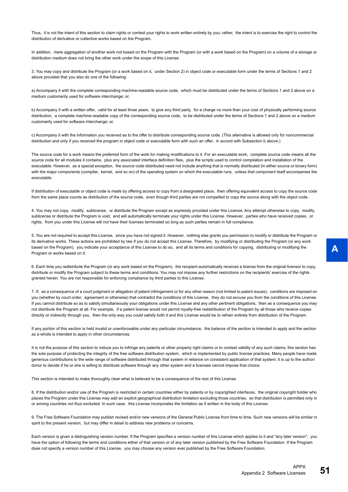Thus, it is not the intent of this section to claim rights or contest your rights to work written entirely by you; rather, the intent is to exercise the right to control the distribution of derivative or collective works based on the Program.

In addition, mere aggregation of another work not based on the Program with the Program (or with a work based on the Program) on a volume of a storage or distribution medium does not bring the other work under the scope of this License.

3. You may copy and distribute the Program (or a work based on it, under Section 2) in object code or executable form under the terms of Sections 1 and 2 above provided that you also do one of the following:

a) Accompany it with the complete corresponding machine-readable source code, which must be distributed under the terms of Sections 1 and 2 above on a medium customarily used for software interchange; or,

b) Accompany it with a written offer, valid for at least three years, to give any third party, for a charge no more than your cost of physically performing source distribution, a complete machine-readable copy of the corresponding source code, to be distributed under the terms of Sections 1 and 2 above on a medium customarily used for software interchange; or,

c) Accompany it with the information you received as to the offer to distribute corresponding source code. (This alternative is allowed only for noncommercial distribution and only if you received the program in object code or executable form with such an offer, in accord with Subsection b above.)

The source code for a work means the preferred form of the work for making modifications to it. For an executable work, complete source code means all the source code for all modules it contains, plus any associated interface definition files, plus the scripts used to control compilation and installation of the executable. However, as a special exception, the source code distributed need not include anything that is normally distributed (in either source or binary form) with the major components (compiler, kernel, and so on) of the operating system on which the executable runs, unless that component itself accompanies the executable.

If distribution of executable or object code is made by offering access to copy from a designated place, then offering equivalent access to copy the source code from the same place counts as distribution of the source code, even though third parties are not compelled to copy the source along with the object code.

4. You may not copy, modify, sublicense, or distribute the Program except as expressly provided under this License. Any attempt otherwise to copy, modify, sublicense or distribute the Program is void, and will automatically terminate your rights under this License. However, parties who have received copies, or rights, from you under this License will not have their licenses terminated so long as such parties remain in full compliance.

5. You are not required to accept this License, since you have not signed it. However, nothing else grants you permission to modify or distribute the Program or its derivative works. These actions are prohibited by law if you do not accept this License. Therefore, by modifying or distributing the Program (or any work based on the Program), you indicate your acceptance of this License to do so, and all its terms and conditions for copying, distributing or modifying the Program or works based on it.

6. Each time you redistribute the Program (or any work based on the Program), the recipient automatically receives a license from the original licensor to copy, distribute or modify the Program subject to these terms and conditions. You may not impose any further restrictions on the recipients' exercise of the rights granted herein. You are not responsible for enforcing compliance by third parties to this License.

7. If, as a consequence of a court judgment or allegation of patent infringement or for any other reason (not limited to patent issues), conditions are imposed on you (whether by court order, agreement or otherwise) that contradict the conditions of this License, they do not excuse you from the conditions of this License. If you cannot distribute so as to satisfy simultaneously your obligations under this License and any other pertinent obligations, then as a consequence you may not distribute the Program at all. For example, if a patent license would not permit royalty-free redistribution of the Program by all those who receive copies directly or indirectly through you, then the only way you could satisfy both it and this License would be to refrain entirely from distribution of the Program.

If any portion of this section is held invalid or unenforceable under any particular circumstance, the balance of the section is intended to apply and the section as a whole is intended to apply in other circumstances.

It is not the purpose of this section to induce you to infringe any patents or other property right claims or to contest validity of any such claims; this section has the sole purpose of protecting the integrity of the free software distribution system, which is implemented by public license practices. Many people have made generous contributions to the wide range of software distributed through that system in reliance on consistent application of that system; it is up to the author/ donor to decide if he or she is willing to distribute software through any other system and a licensee cannot impose that choice.

This section is intended to make thoroughly clear what is believed to be a consequence of the rest of this License.

8. If the distribution and/or use of the Program is restricted in certain countries either by patents or by copyrighted interfaces, the original copyright holder who places the Program under this License may add an explicit geographical distribution limitation excluding those countries, so that distribution is permitted only in or among countries not thus excluded. In such case, this License incorporates the limitation as if written in the body of this License.

9. The Free Software Foundation may publish revised and/or new versions of the General Public License from time to time. Such new versions will be similar in spirit to the present version, but may differ in detail to address new problems or concerns.

Each version is given a distinguishing version number. If the Program specifies a version number of this License which applies to it and "any later version", you have the option of following the terms and conditions either of that version or of any later version published by the Free Software Foundation. If the Program does not specify a version number of this License, you may choose any version ever published by the Free Software Foundation.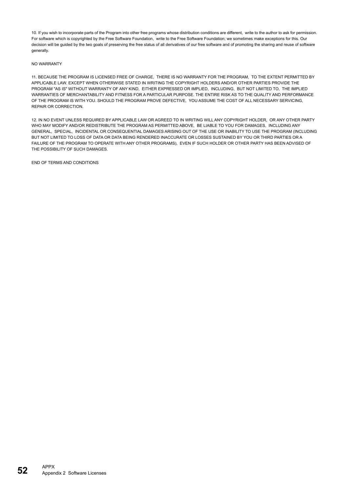10. If you wish to incorporate parts of the Program into other free programs whose distribution conditions are different, write to the author to ask for permission. For software which is copyrighted by the Free Software Foundation, write to the Free Software Foundation; we sometimes make exceptions for this. Our decision will be quided by the two goals of preserving the free status of all derivatives of our free software and of promoting the sharing and reuse of software generally.

#### NO WARRANTY

11. BECAUSE THE PROGRAM IS LICENSED FREE OF CHARGE, THERE IS NO WARRANTY FOR THE PROGRAM, TO THE EXTENT PERMITTED BY APPLICABLE LAW. EXCEPT WHEN OTHERWISE STATED IN WRITING THE COPYRIGHT HOLDERS AND/OR OTHER PARTIES PROVIDE THE PROGRAM "AS IS" WITHOUT WARRANTY OF ANY KIND, EITHER EXPRESSED OR IMPLIED, INCLUDING, BUT NOT LIMITED TO, THE IMPLIED WARRANTIES OF MERCHANTABILITY AND FITNESS FOR A PARTICULAR PURPOSE. THE ENTIRE RISK AS TO THE QUALITY AND PERFORMANCE OF THE PROGRAM IS WITH YOU. SHOULD THE PROGRAM PROVE DEFECTIVE, YOU ASSUME THE COST OF ALL NECESSARY SERVICING, REPAIR OR CORRECTION.

12. IN NO EVENT UNLESS REQUIRED BY APPLICABLE LAW OR AGREED TO IN WRITING WILL ANY COPYRIGHT HOLDER, OR ANY OTHER PARTY WHO MAY MODIFY AND/OR REDISTRIBUTE THE PROGRAM AS PERMITTED ABOVE, BE LIABLE TO YOU FOR DAMAGES, INCLUDING ANY GENERAL, SPECIAL, INCIDENTAL OR CONSEQUENTIAL DAMAGES ARISING OUT OF THE USE OR INABILITY TO USE THE PROGRAM (INCLUDING BUT NOT LIMITED TO LOSS OF DATA OR DATA BEING RENDERED INACCURATE OR LOSSES SUSTAINED BY YOU OR THIRD PARTIES OR A FAILURE OF THE PROGRAM TO OPERATE WITH ANY OTHER PROGRAMS), EVEN IF SUCH HOLDER OR OTHER PARTY HAS BEEN ADVISED OF THE POSSIBILITY OF SUCH DAMAGES.

END OF TERMS AND CONDITIONS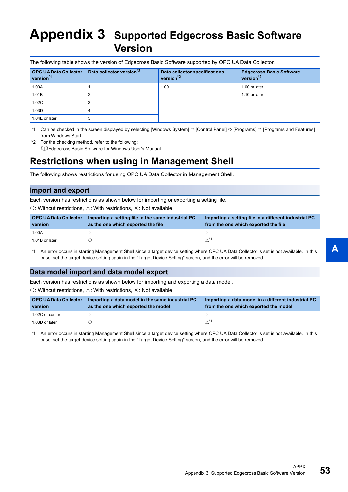# <span id="page-54-0"></span>**Appendix 3 Supported Edgecross Basic Software Version**

| <b>OPC UA Data Collector</b><br>version <sup>*1</sup> | Data collector version <sup>*2</sup> | Data collector specifications<br>version <sup>2</sup> | <b>Edgecross Basic Software</b><br>version <sup>2</sup> |
|-------------------------------------------------------|--------------------------------------|-------------------------------------------------------|---------------------------------------------------------|
| 1.00A                                                 |                                      | 1.00                                                  | 1.00 or later                                           |
| 1.01B                                                 |                                      |                                                       | 1.10 or later                                           |
| 1.02C                                                 |                                      |                                                       |                                                         |
| 1.03D                                                 |                                      |                                                       |                                                         |
| 1.04E or later                                        |                                      |                                                       |                                                         |

<span id="page-54-2"></span>\*1 Can be checked in the screen displayed by selecting [Windows System]  $\Rightarrow$  [Control Panel]  $\Rightarrow$  [Programs]  $\Rightarrow$  [Programs and Features] from Windows Start.

<span id="page-54-3"></span>\*2 For the checking method, refer to the following: Edgecross Basic Software for Windows User's Manual

### <span id="page-54-1"></span>**Restrictions when using in Management Shell**

The following shows restrictions for using OPC UA Data Collector in Management Shell.

### **Import and export**

Each version has restrictions as shown below for importing or exporting a setting file.

 $\bigcirc$ : Without restrictions,  $\bigtriangleup$ : With restrictions,  $\times$ : Not available

| <b>OPC UA Data Collector</b><br>version | Importing a setting file in the same industrial PC<br>as the one which exported the file | Importing a setting file in a different industrial PC<br>from the one which exported the file |
|-----------------------------------------|------------------------------------------------------------------------------------------|-----------------------------------------------------------------------------------------------|
| 1.00A                                   |                                                                                          |                                                                                               |
| 1.01B or later                          |                                                                                          |                                                                                               |

<span id="page-54-4"></span>\*1 An error occurs in starting Management Shell since a target device setting where OPC UA Data Collector is set is not available. In this case, set the target device setting again in the "Target Device Setting" screen, and the error will be removed.

### **Data model import and data model export**

Each version has restrictions as shown below for importing and exporting a data model.

 $\bigcirc$ : Without restrictions,  $\triangle$ : With restrictions,  $\times$ : Not available

| <b>OPC UA Data Collector</b><br>version | Importing a data model in the same industrial PC<br>as the one which exported the model | Importing a data model in a different industrial PC<br>from the one which exported the model |
|-----------------------------------------|-----------------------------------------------------------------------------------------|----------------------------------------------------------------------------------------------|
| 1.02C or earlier                        |                                                                                         | $\times$                                                                                     |
| 1.03D or later                          |                                                                                         |                                                                                              |

<span id="page-54-5"></span>\*1 An error occurs in starting Management Shell since a target device setting where OPC UA Data Collector is set is not available. In this case, set the target device setting again in the "Target Device Setting" screen, and the error will be removed.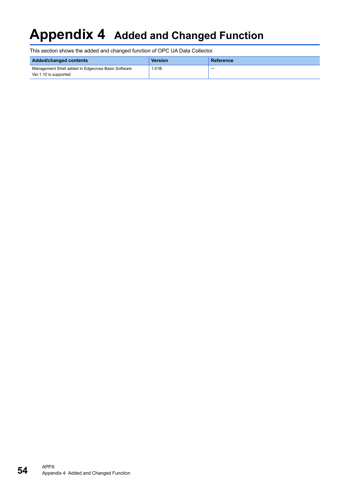# <span id="page-55-0"></span>**Appendix 4 Added and Changed Function**

This section shows the added and changed function of OPC UA Data Collector.

| Added/changed contents                                                       | <b>Version</b> | Reference |
|------------------------------------------------------------------------------|----------------|-----------|
| Management Shell added in Edgecross Basic Software<br>Ver.1.10 is supported. | 1.01B          |           |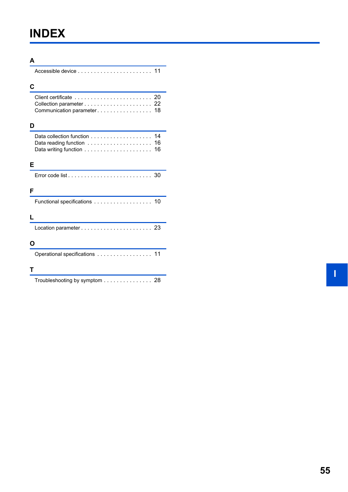# <span id="page-56-0"></span>**INDEX**

| A                                                                            |
|------------------------------------------------------------------------------|
|                                                                              |
| С                                                                            |
| Communication parameter 18                                                   |
| D                                                                            |
| 14<br>Data reading function<br>16<br>16                                      |
| Е                                                                            |
| Error code list $\ldots \ldots \ldots \ldots \ldots \ldots \ldots \ldots 30$ |
| F                                                                            |
| Functional specifications 10                                                 |
|                                                                              |
|                                                                              |
| O                                                                            |
| Operational specifications 11                                                |
| т                                                                            |
| Troubleshooting by symptom 28                                                |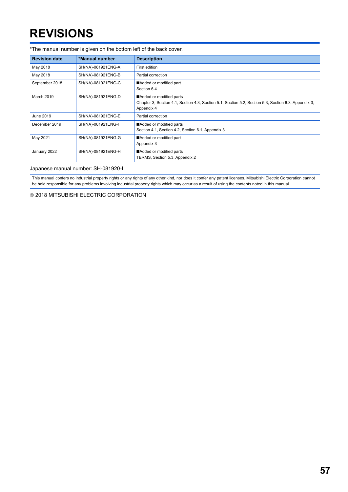# <span id="page-58-0"></span>**REVISIONS**

| THE Manual Number is given on the bottom icit of the back cover. |                    |                                                                                                                                               |  |  |
|------------------------------------------------------------------|--------------------|-----------------------------------------------------------------------------------------------------------------------------------------------|--|--|
| <b>Revision date</b>                                             | *Manual number     | <b>Description</b>                                                                                                                            |  |  |
| May 2018                                                         | SH(NA)-081921ENG-A | First edition                                                                                                                                 |  |  |
| May 2018                                                         | SH(NA)-081921ENG-B | Partial correction                                                                                                                            |  |  |
| September 2018                                                   | SH(NA)-081921ENG-C | Added or modified part<br>Section 6.4                                                                                                         |  |  |
| <b>March 2019</b>                                                | SH(NA)-081921ENG-D | Added or modified parts<br>Chapter 3, Section 4.1, Section 4.3, Section 5.1, Section 5.2, Section 5.3, Section 6.3, Appendix 3,<br>Appendix 4 |  |  |
| June 2019                                                        | SH(NA)-081921ENG-E | Partial correction                                                                                                                            |  |  |
| December 2019                                                    | SH(NA)-081921ENG-F | Added or modified parts<br>Section 4.1, Section 4.2, Section 6.1, Appendix 3                                                                  |  |  |
| May 2021                                                         | SH(NA)-081921ENG-G | Added or modified part<br>Appendix 3                                                                                                          |  |  |
| January 2022                                                     | SH(NA)-081921ENG-H | Added or modified parts<br>TERMS, Section 5.3, Appendix 2                                                                                     |  |  |

\*The manual number is given on the bottom left of the back cover.

Japanese manual number: SH-081920-I

This manual confers no industrial property rights or any rights of any other kind, nor does it confer any patent licenses. Mitsubishi Electric Corporation cannot be held responsible for any problems involving industrial property rights which may occur as a result of using the contents noted in this manual.

2018 MITSUBISHI ELECTRIC CORPORATION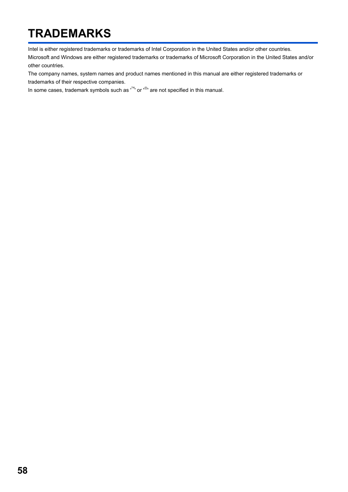# <span id="page-59-0"></span>**TRADEMARKS**

Intel is either registered trademarks or trademarks of Intel Corporation in the United States and/or other countries.

Microsoft and Windows are either registered trademarks or trademarks of Microsoft Corporation in the United States and/or other countries.

The company names, system names and product names mentioned in this manual are either registered trademarks or trademarks of their respective companies.

In some cases, trademark symbols such as  $I^{\text{TM}}$  or  $I^{\text{CD}}$  are not specified in this manual.